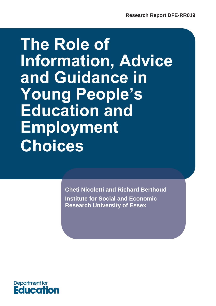# **The Role of Information, Advice and Guidance in Young People's Education and Employment Choices**

**Cheti Nicoletti and Richard Berthoud Institute for Social and Economic Research University of Essex** 

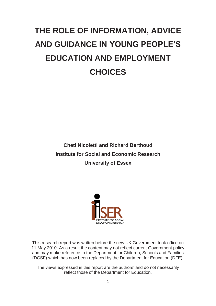## <span id="page-1-0"></span>**THE ROLE OF INFORMATION, ADVICE AND GUIDANCE IN YOUNG PEOPLE'S EDUCATION AND EMPLOYMENT CHOICES**

**Cheti Nicoletti and Richard Berthoud Institute for Social and Economic Research University of Essex** 



This research report was written before the new UK Government took office on 11 May 2010. As a result the content may not reflect current Government policy and may make reference to the Department for Children, Schools and Families (DCSF) which has now been replaced by the Department for Education (DFE).

The views expressed in this report are the authors' and do not necessarily reflect those of the Department for Education.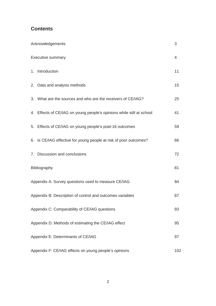## **Contents**

| Acknowledgements                                                      | 3              |
|-----------------------------------------------------------------------|----------------|
| <b>Executive summary</b>                                              | $\overline{4}$ |
| 1. Introduction                                                       | 11             |
| 2. Data and analysis methods                                          | 15             |
| 3. What are the sources and who are the receivers of CE/IAG?          | 25             |
| 4. Effects of CE/IAG on young people's opinions while still at school | 41             |
| 5. Effects of CE/IAG on young people's post-16 outcomes               | 59             |
| 6. Is CE/IAG effective for young people at risk of poor outcomes?     | 66             |
| 7. Discussion and conclusions                                         | 72             |
| Bibliography                                                          | 81             |
| Appendix A: Survey questions used to measure CE/IAG                   | 84             |
| Appendix B: Description of control and outcomes variables             | 87             |
| Appendix C: Comparability of CE/IAG questions                         | 93             |
| Appendix D: Methods of estimating the CE/IAG effect                   | 95             |
| Appendix E: Determinants of CE/IAG                                    | 97             |
| Appendix F: CE/IAG effects on young people's opinions                 | 102            |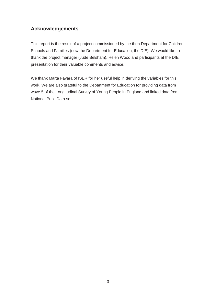## <span id="page-3-0"></span>**Acknowledgements**

 Schools and Families (now the Department for Education, the DfE). We would like to thank the project manager (Jude Belsham), Helen Wood and participants at the DfE This report is the result of a project commissioned by the then Department for Children, presentation for their valuable comments and advice.

 work. We are also grateful to the Department for Education for providing data from We thank Marta Favara of ISER for her useful help in deriving the variables for this wave 5 of the Longitudinal Survey of Young People in England and linked data from National Pupil Data set.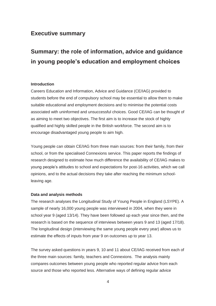## <span id="page-4-0"></span>**Executive summary**

## **Summary: the role of information, advice and guidance in young people's education and employment choices**

#### **Introduction**

 qualified and highly skilled people in the British workforce. The second aim is to Careers Education and Information, Advice and Guidance (CE/IAG) provided to students before the end of compulsory school may be essential to allow them to make suitable educational and employment decisions and to minimise the potential costs associated with uninformed and unsuccessful choices. Good CE/IAG can be thought of as aiming to meet two objectives. The first aim is to increase the stock of highly encourage disadvantaged young people to aim high.

 Young people can obtain CE/IAG from three main sources: from their family, from their school, or from the specialised Connexions service. This paper reports the findings of research designed to estimate how much difference the availability of CE/IAG makes to leaving age. young people's attitudes to school and expectations for post-16 activities, which we call opinions, and to the actual decisions they take after reaching the minimum school-

#### **Data and analysis methods**

The research analyses the Longitudinal Study of Young People in England (LSYPE). A sample of nearly 16,000 young people was interviewed in 2004, when they were in school year 9 (aged 13/14). They have been followed up each year since then, and the research is based on the sequence of interviews between years 9 and 13 (aged 17/18). The longitudinal design (interviewing the same young people every year) allows us to estimate the effects of inputs from year 9 on outcomes up to year 13.

 The survey asked questions in years 9, 10 and 11 about CE/IAG received from each of the three main sources: family, teachers and Connexions. The analysis mainly compares outcomes between young people who reported regular advice from each source and those who reported less. Alternative ways of defining regular advice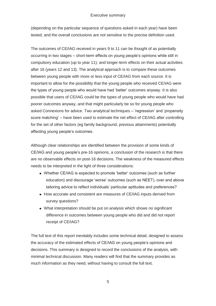#### Executive summary

tested, and the overall conclusions are not sensitive to the precise definition used. (depending on the particular sequence of questions asked in each year) have been

 between young people with more or less input of CE/IAG from each source. It is The outcomes of CE/IAG received in years 9 to 11 can be thought of as potentially occurring in two stages – short-term effects on young people's opinions while still in compulsory education (up to year 11); and longer-term effects on their actual activities after 16 (years 12 and 13). The analytical approach is to compare these outcomes important to allow for the possibility that the young people who received CE/IAG were the types of young people who would have had 'better' outcomes anyway. It is also possible that users of CE/IAG could be the types of young people who would have had poorer outcomes anyway, and that might particularly be so for young people who asked Connexions for advice. Two analytical techniques – 'regression' and 'propensity score matching' – have been used to estimate the net effect of CE/IAG after controlling for the set of other factors (eg family background, previous attainments) potentially affecting young people's outcomes.

 Although clear relationships are identified between the provision of some kinds of CE/IAG and young people's pre-16 opinions, a conclusion of the research is that there are no observable effects on post-16 decisions. The weakness of the measured effects needs to be interpreted in the light of three considerations:

- Whether CE/IAG is expected to promote 'better' outcomes (such as further education) and discourage 'worse' outcomes (such as NEET), over and above tailoring advice to reflect individuals' particular aptitudes and preferences?
- How accurate and consistent are measures of CE/IAG inputs derived from survey questions?
- What interpretation should be put on analysis which shows no significant difference in outcomes between young people who did and did not report receipt of CE/IAG?

 much information as they need, without having to consult the full text. The full text of this report inevitably includes some technical detail, designed to assess the accuracy of the estimated effects of CE/IAG on young people's opinions and decisions. This summary is designed to record the conclusions of the analysis, with minimal technical discussion. Many readers will find that the summary provides as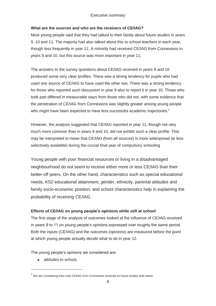#### **What are the sources and who are the receivers of CE/IAG?**

years 9 and 10, but this source was more important in year 11. Most young people said that they had talked to their family about future studies in years 9, 10 and 11. The majority had also talked about this to school teachers in each year, though less frequently in year 11. A minority had received CE/IAG from Connexions in

who might have been expected to have less successful academic trajectories.<sup>1</sup> The answers to the survey questions about CE/IAG received in years 9 and 10 produced some very clear profiles. There was a strong tendency for pupils who had used one source of CE/IAG to have used the other two. There was a strong tendency for those who reported such discussion in year 9 also to report it in year 10. Those who took part differed in measurable ways from those who did not, with some evidence that the penetration of CE/IAG from Connexions was slightly greater among young people

However, the analysis suggested that CE/IAG reported in year 11, though not very much more common than in years 9 and 10, did not exhibit such a clear profile. This may be interpreted to mean that CE/IAG (from all sources) is more widespread (ie less selectively available) during the crucial final year of compulsory schooling

 probability of receiving CE/IAG. Young people with poor financial resources or living in a disadvantaged neighbourhood do not seem to receive either more or less CE/IAG than their better-off peers. On the other hand, characteristics such as special educational needs, KS2 educational attainment, gender, ethnicity, parental attitudes and family socio-economic position, and school characteristics help in explaining the

#### **Effects of CE/IAG on young people's opinions while still at school**

The first stage of the analysis of outcomes looked at the influence of CE/IAG received in years 9 to 11 on young people's opinions expressed over roughly the same period. Both the inputs (CE/IAG) and the outcomes (opinions) are measured before the point at which young people actually decide what to do in year 12.

The young people's opinions we considered are:

attitudes to school,

-

 $1$  We are considering here only CE/IAG from Connexions received on future studies and career.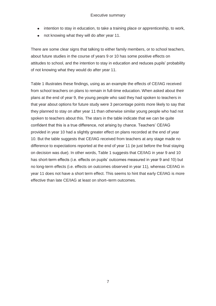- intention to stay in education, to take a training place or apprenticeship, to work,<br>not knowing what they will do after year 11.
- 

There are some clear signs that talking to either family members, or to school teachers, about future studies in the course of years 9 or 10 has some positive effects on attitudes to school, and the intention to stay in education and reduces pupils' probability of not knowing what they would do after year 11.

 Table 1 illustrates these findings, using as an example the effects of CE/IAG received from school teachers on plans to remain in full-time education. When asked about their plans at the end of year 9, the young people who said they had spoken to teachers in 10. But the table suggests that CE/IAG received from teachers at any stage made no difference to expectations reported at the end of year 11 (ie just before the final staying that year about options for future study were 3 percentage points more likely to say that they planned to stay on after year 11 than otherwise similar young people who had not spoken to teachers about this. The stars in the table indicate that we can be quite confident that this is a true difference, not arising by chance. Teachers' CE/IAG provided in year 10 had a slightly greater effect on plans recorded at the end of year on decision was due). In other words, Table 1 suggests that CE/IAG in year 9 and 10 has short-term effects (i.e. effects on pupils' outcomes measured in year 9 and 10) but no long-term effects (i.e. effects on outcomes observed in year 11), whereas CE/IAG in year 11 does not have a short term effect. This seems to hint that early CE/IAG is more effective than late CE/IAG at least on short–term outcomes.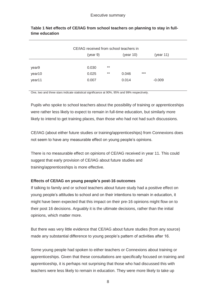| CE/IAG received from school teachers in |          |       |           |       |           |  |
|-----------------------------------------|----------|-------|-----------|-------|-----------|--|
|                                         | (year 9) |       | (year 10) |       | (year 11) |  |
|                                         |          |       |           |       |           |  |
| year9                                   | 0.030    | $***$ |           |       |           |  |
| year10                                  | 0.025    | $***$ | 0.046     | $***$ |           |  |
| year11                                  | 0.007    |       | 0.014     |       | $-0.009$  |  |
|                                         |          |       |           |       |           |  |

#### **Table 1 Net effects of CE/IAG from school teachers on planning to stay in fulltime education**

One, two and three stars indicate statistical significance at 90%, 95% and 99% respectively.

Pupils who spoke to school teachers about the possibility of training or apprenticeships were rather less likely to expect to remain in full-time education, but similarly more likely to intend to get training places, than those who had not had such discussions.

CE/IAG (about either future studies or training/apprenticeships) from Connexions does not seem to have any measurable effect on young people's opinions.

 There is no measurable effect on opinions of CE/IAG received in year 11. This could suggest that early provision of CE/IAG about future studies and training/apprenticeships is more effective.

#### **Effects of CE/IAG on young people's post-16 outcomes**

 might have been expected that this impact on their pre-16 opinions might flow on to opinions, which matter more. If talking to family and or school teachers about future study had a positive effect on young people's attitudes to school and on their intentions to remain in education, it their post 16 decisions. Arguably it is the ultimate decisions, rather than the initial

But there was very little evidence that CE/IAG about future studies (from any source) made any substantial difference to young people's pattern of activities after 16.

Some young people had spoken to either teachers or Connexions about training or apprenticeships. Given that these consultations are specifically focused on training and apprenticeship, it is perhaps not surprising that those who had discussed this with teachers were less likely to remain in education. They were more likely to take up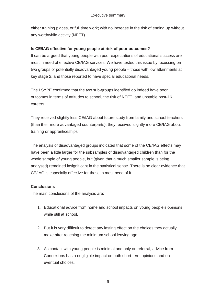<span id="page-9-0"></span> any worthwhile activity (NEET). either training places, or full time work; with no increase in the risk of ending up without

#### **Is CE/IAG effective for young people at risk of poor outcomes?**

It can be argued that young people with poor expectations of educational success are most in need of effective CE/IAG services. We have tested this issue by focussing on two groups of potentially disadvantaged young people – those with low attainments at key stage 2, and those reported to have special educational needs.

 outcomes in terms of attitudes to school, the risk of NEET, and unstable post-16 The LSYPE confirmed that the two sub-groups identified do indeed have poor careers.

 They received slightly less CE/IAG about future study from family and school teachers (than their more advantaged counterparts); they received slightly more CE/IAG about training or apprenticeships.

 The analysis of disadvantaged groups indicated that some of the CE/IAG effects may whole sample of young people, but (given that a much smaller sample is being have been a little larger for the subsamples of disadvantaged children than for the analysed) remained insignificant in the statistical sense. There is no clear evidence that CE/IAG is especially effective for those in most need of it.

#### **Conclusions**

The main conclusions of the analysis are:

- while still at school. 1. Educational advice from home and school impacts on young people's opinions
- make after reaching the minimum school leaving age. 2. But it is very difficult to detect any lasting effect on the choices they actually
- 3. As contact with young people is minimal and only on referral, advice from Connexions has a negligible impact on both short-term opinions and on eventual choices.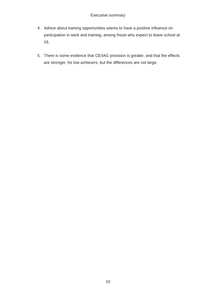- 16. 4. Advice about training opportunities seems to have a positive influence on participation in work and training, among those who expect to leave school at
- are stronger, for low achievers, but the differences are not large. 5. There is some evidence that CE/IAG provision is greater, and that the effects are stronger, for low achievers, but the differences are not large.<br> $10$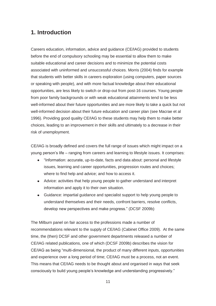## <span id="page-11-0"></span>**1. Introduction**

 before the end of compulsory schooling may be essential to allow them to make that students with better skills in careers exploration (using computers, paper sources from poor family backgrounds or with weak educational attainments tend to be less Careers education, information, advice and guidance (CE/IAG) provided to students suitable educational and career decisions and to minimize the potential costs associated with uninformed and unsuccessful choices. Morris (2004) finds for example or speaking with people), and with more factual knowledge about their educational opportunities, are less likely to switch or drop-out from post-16 courses. Young people well-informed about their future opportunities and are more likely to take a quick but not well-informed decision about their future education and career plan (see Macrae et al 1996). Providing good quality CE/IAG to these students may help them to make better choices, leading to an improvement in their skills and ultimately to a decrease in their risk of unemployment.

 CE/IAG is broadly defined and covers the full range of issues which might impact on a young person's life – ranging from careers and learning to lifestyle issues. It comprises:

- "Information: accurate, up-to-date, facts and data about: personal and lifestyle issues, learning and career opportunities, progression routes and choices; where to find help and advice; and how to access it.
- Advice: activities that help young people to gather understand and interpret information and apply it to their own situation.
- Guidance: impartial guidance and specialist support to help young people to understand themselves and their needs, confront barriers, resolve conflicts, develop new perspectives and make progress." (DCSF 2009b)

 recommendations relevant to the supply of CE/IAG (Cabinet Office 2009). At the same CE/IAG as being "multi-dimensional, the product of many different inputs, opportunities and experience over a long period of time; CE/IAG must be a process, not an event. The Milburn panel on fair access to the professions made a number of time, the (then) DCSF and other government departments released a number of CE/IAG related publications, one of which (DCSF 2009b) describes the vision for This means that CE/IAG needs to be thought about and organised in ways that seek consciously to build young people's knowledge and understanding progressively."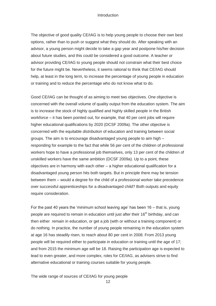#### **Introduction**

 The objective of good quality CE/IAG is to help young people to choose their own best options, rather than to push or suggest what they should do. After speaking with an advisor providing CE/IAG to young people should not constrain what their best choice advisor, a young person might decide to take a gap year and postpone his/her decision about future studies, and this could be considered a good outcome. A teacher or for the future might be. Nevertheless, it seems rational to think that CE/IAG should help, at least in the long term, to increase the percentage of young people in education or training and to reduce the percentage who do not know what to do.

 concerned with the overall volume of quality output from the education system. The aim groups. The aim is to encourage disadvantaged young people to aim high – objectives are in harmony with each other – a higher educational qualification for a Good CE/IAG can be thought of as aiming to meet two objectives. One objective is is to increase the stock of highly qualified and highly skilled people in the British workforce – it has been pointed out, for example, that 40 per cent jobs will require higher educational qualifications by 2020 (DCSF 2009a). The other objective is concerned with the equitable *distribution* of education and training between social responding for example to the fact that while 56 per cent of the children of professional workers hope to have a professional job themselves, only 13 per cent of the children of unskilled workers have the same ambition (DCSF 2009a). Up to a point, these disadvantaged young person hits both targets. But in principle there may be tension between them – would a degree for the child of a professional worker take precedence over successful apprenticeships for a disadvantaged child? Both outputs and equity require consideration.

 lead to even greater, and more complex, roles for CE/IAG, as advisers strive to find For the past 40 years the 'minimum school leaving age' has been 16 – that is, young people are required to remain in education until just after their 16<sup>th</sup> birthday, and can then either remain in education, or get a job (with or without a training component) or do nothing. In practice, the number of young people remaining in the education system at age 16 has steadily risen, to reach about 80 per cent in 2008. From 2013 young people will be required either to participate in education or training until the age of 17; and from 2015 the minimum age will be 18. Raising the participation age is expected to alternative educational or training courses suitable for young people.

The wide range of sources of CE/IAG for young people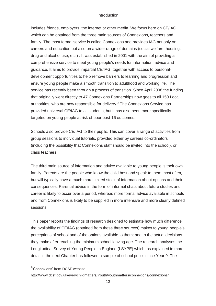#### **Introduction**

 which can be obtained from the three main sources of Connexions, teachers and service has recently been through a process of transition. Since April 2008 the funding targeted on young people at risk of poor post-16 outcomes. includes friends, employers, the internet or other media. We focus here on CE/IAG family. The most formal service is called Connexions and provides IAG not only on careers and education but also on a wider range of domains (social welfare, housing, drug and alcohol use, etc.) . It was established in 2001 with the aim of providing a comprehensive service to meet young people's needs for information, advice and guidance. It aims to provide impartial CE/IAG, together with access to personaldevelopment opportunities to help remove barriers to learning and progression and ensure young people make a smooth transition to adulthood and working life. The that originally went directly to 47 Connexions Partnerships now goes to all 150 Local authorities, who are now responsible for delivery.<sup>2</sup> The Connexions Service has provided universal CE/IAG to all students, but it has also been more specifically

Schools also provide CE/IAG to their pupils. This can cover a range of activities from group sessions to individual tutorials, provided either by careers co-ordinators (including the possibility that Connexions staff should be invited into the school), or class teachers.

 family. Parents are the people who know the child best and speak to them most often, The third main source of information and advice available to young people is their own but will typically have a much more limited stock of information about options and their consequences. Parental advice in the form of informal chats about future studies and career is likely to occur over a period, whereas more formal advice available in schools and from Connexions is likely to be supplied in more intensive and more clearly defined sessions.

 This paper reports the findings of research designed to estimate how much difference detail in the next Chapter has followed a sample of school pupils since Year 9. The the availability of CE/IAG (obtained from these three sources) makes to young people's perceptions of school and of the options available to them; and to the actual decisions they make after reaching the minimum school leaving age. The research analyses the Longitudinal Survey of Young People in England (LSYPE) which, as explained in more

-

<sup>&</sup>lt;sup>2</sup>'Connexions' from DCSF website

http://www.dcsf.gov.uk/everychildmatters/Youth/youthmatters/connexions/connexions/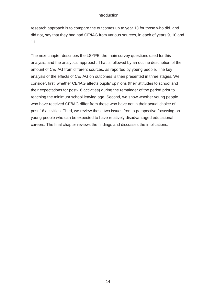#### Introduction

research approach is to compare the outcomes up to year 13 for those who did, and did not, say that they had had CE/IAG from various sources, in each of years 9, 10 and 11.

 analysis, and the analytical approach. That is followed by an outline description of the amount of CE/IAG from different sources, as reported by young people. The key analysis of the effects of CE/IAG on outcomes is then presented in three stages. We who have received CE/IAG differ from those who have not in their actual choice of careers. The final chapter reviews the findings and discusses the implications. The next chapter describes the LSYPE, the main survey questions used for this consider, first, whether CE/IAG affects pupils' opinions (their attitudes to school and their expectations for post-16 activities) during the remainder of the period prior to reaching the minimum school leaving age. Second, we show whether young people post-16 activities. Third, we review these two issues from a perspective focussing on young people who can be expected to have relatively disadvantaged educational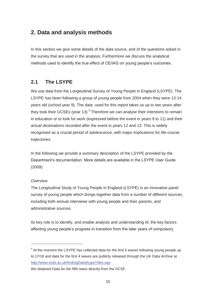## <span id="page-15-0"></span>**2. Data and analysis methods**

In this section we give some details of the data source, and of the questions asked in the survey that are used in the analysis. Furthermore we discuss the analytical methods used to identify the true effect of CE/IAG on young people's outcomes.

#### $2.1$ **2.1 The LSYPE**

 We use data from the Longitudinal Survey of Young People in England (LSYPE). The years old (school year 9). The data used for this report takes us up to two years after in education or to look for work (expressed before the event in years 9 to 11) and their trajectories. LSYPE has been following a group of young people from 2004 when they were 13-14 they took their GCSEs (year 13).3 Therefore we can analyse their *intentions* to remain *actual destinations* recorded after the event in years 12 and 13. This is widely recognised as a crucial period of adolescence, with major implications for life-course

 (2009). In the following we provide a summary description of the LSYPE provided by the Department's documentation. More details are available in the LSYPE User Guide

#### *Overview*

-

 survey of young people which brings together data from a number of different sources, administrative sources. The Longitudinal Study of Young People in England (LSYPE) is an innovative panel including both annual interviews with young people and their parents, and

 affecting young people's progress in transition from the later years of compulsory Its key role is to identify, and enable analysis and understanding of, the key factors

 to 17/18 and data for the first 4 waves are publicly released through the UK Data Archive at  $3$  At the moment the LSYPE has collected data for the first 5 waves following young people up http://www.esds.ac.uk/findingData/lsypeTitles.asp

We obtained Data for the fifth wave directly from the DCSF.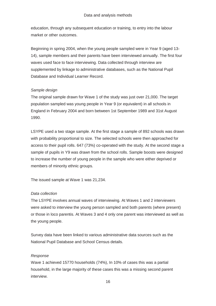education, through any subsequent education or training, to entry into the labour market or other outcomes.

 waves used face to face interviewing. Data collected through interview are Beginning in spring 2004, when the young people sampled were in Year 9 (aged 13-14), sample members and their parents have been interviewed annually. The first four supplemented by linkage to administrative databases, such as the National Pupil Database and Individual Learner Record.

#### *Sample design*

 The original sample drawn for Wave 1 of the study was just over 21,000. The target population sampled was young people in Year 9 (or equivalent) in all schools in England in February 2004 and born between 1st September 1989 and 31st August 1990.

LSYPE used a two stage sample. At the first stage a sample of 892 schools was drawn with probability proportional to size. The selected schools were then approached for access to their pupil rolls. 647 (73%) co-operated with the study. At the second stage a sample of pupils in Y9 was drawn from the school rolls. Sample boosts were designed to increase the number of young people in the sample who were either deprived or members of minority ethnic groups.

The issued sample at Wave 1 was 21,234.

#### *Data collection*

The LSYPE involves annual waves of interviewing. At Waves 1 and 2 interviewers were asked to interview the young person sampled and both parents (where present) or those in loco parentis. At Waves 3 and 4 only one parent was interviewed as well as the young people.

Survey data have been linked to various administrative data sources such as the National Pupil Database and School Census details.

#### *Response*

 Wave 1 achieved 15770 households (74%), In 10% of cases this was a partial household, in the large majority of these cases this was a missing second parent interview. interview.<br>16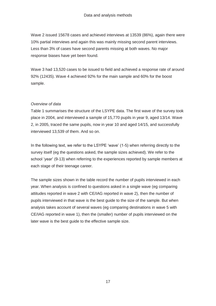Less than 3% of cases have second parents missing at both waves. No major response biases have yet been found. Wave 2 issued 15678 cases and achieved interviews at 13539 (86%), again there were 10% partial interviews and again this was mainly missing second parent interviews.

 Wave 3 had 13,520 cases to be issued to field and achieved a response rate of around 92% (12435). Wave 4 achieved 92% for the main sample and 60% for the boost sample.

#### *Overview of data*

 place in 2004, and interviewed a sample of 15,770 pupils in year 9, aged 13/14. Wave Table 1 summarises the structure of the LSYPE data. The first wave of the survey took 2, in 2005, traced the same pupils, now in year 10 and aged 14/15, and successfully interviewed 13,539 of them. And so on.

 survey itself (eg the questions asked, the sample sizes achieved). We refer to the In the following text, we refer to the LSYPE 'wave' (1-5) when referring directly to the school 'year' (9-13) when referring to the experiences reported by sample members at each stage of their teenage career.

 CE/IAG reported in wave 1), then the (smaller) number of pupils interviewed on the The sample sizes shown in the table record the number of pupils interviewed in each year. When analysis is confined to questions asked in a single wave (eg comparing attitudes reported in wave 2 with CE/IAG reported in wave 2), then the number of pupils interviewed in that wave is the best guide to the size of the sample. But when analysis takes account of several waves (eg comparing destinations in wave 5 with later wave is the best guide to the effective sample size.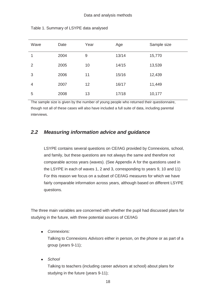| Wave | Date | Year | Age   | Sample size |
|------|------|------|-------|-------------|
| 1    | 2004 | 9    | 13/14 | 15,770      |
| 2    | 2005 | 10   | 14/15 | 13,539      |
| 3    | 2006 | 11   | 15/16 | 12,439      |
| 4    | 2007 | 12   | 16/17 | 11,449      |
| 5    | 2008 | 13   | 17/18 | 10,177      |

Table 1. Summary of LSYPE data analysed

 The sample size is given by the number of young people who returned their questionnaire, though not all of these cases will also have included a full suite of data, including parental interviews.

#### *2.2 Measuring information advice and guidance*

 comparable across years (waves). (See Appendix A for the questions used in the LSYPE in each of waves 1, 2 and 3, corresponding to years 9, 10 and 11) For this reason we focus on a subset of CE/IAG measures for which we have questions. LSYPE contains several questions on CE/IAG provided by Connexions, school, and family, but these questions are not always the same and therefore not fairly comparable information across years, although based on different LSYPE

 studying in the future, with three potential sources of CE/IAG The three main variables are concerned with whether the pupil had discussed plans for

*Connexions:*

 Talking to Connexions *Advisors* either in person, on the phone or as part of a group (years 9-11);

*School* 

 Talking to teachers (including career advisors at school) about plans for studying in the future (years 9-11);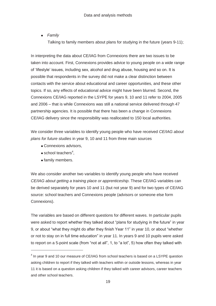*Family* 

Talking to family members about plans for studying in the future (years 9-11);

 partnership agencies. It is possible that there has been a change in Connexions In interpreting the data about CE/IAG from Connexions there are two issues to be taken into account. First, Connexions provides advice to young people on a wide range of 'lifestyle' issues, including sex, alcohol and drug abuse, housing and so on. It is possible that respondents in the survey did not make a clear distinction between contacts with the service about educational and career opportunities, and these other topics. If so, any effects of educational advice might have been blurred. Second, the Connexions CE/IAG reported in the LSYPE for years 9, 10 and 11 refer to 2004, 2005 and 2006 – that is while Connexions was still a national service delivered through 47 CE/IAG delivery since the responsibility was reallocated to 150 local authorities.

We consider three variables to identify young people who have received *CE/IAG about plans for future studies* in year 9, 10 and 11 from three main sources

- Connexions advisors,
- school teachers<sup>4</sup>,
- family members.

-

 be derived separately for years 10 and 11 (but not year 9) and for two types of CE/IAG Connexions). We also consider another two variables to identify young people who have received *CE/IAG about getting a training place or apprenticeship*. These CE/IAG variables can source: school teachers and Connexions people (advisors or someone else form

The variables are based on different questions for different waves. In particular pupils were asked to report whether they talked about "plans for studying in the future" in year 9, or about "what they might do after they finish Year 11" in year 10, or about "whether or not to stay on in full time education" in year 11. In years 9 and 10 pupils were asked to report on a 5-point scale (from "not at all", 1, to "a lot", 5) how often they talked with

 asking children to report if they talked with teachers within or outside lessons, whereas in year <sup>4</sup> In year 9 and 10 our measure of CE/IAG from school teachers is based on a LSYPE question 11 it is based on a question asking children if they talked with career advisors, career teachers and other school teachers.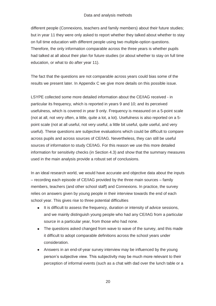#### Data and analysis methods

 had talked at all about their plan for future studies (or about whether to stay on full time education, or what to do after year 11). different people (Connexions, teachers and family members) about their future studies; but in year 11 they were only asked to report whether they talked about whether to stay on full time education with different people using two multiple-option questions. Therefore, the only information comparable across the three years is whether pupils

 The fact that the questions are not comparable across years could bias some of the results we present later. In Appendix C we give more details on this possible issue.

 point scale (not at all useful, not very useful, a little bit useful, quite useful, and very useful). These questions are subjective evaluations which could be difficult to compare LSYPE collected some more detailed information about the CE/IAG received - in particular its frequency, which is reported in years 9 and 10; and its perceived usefulness, which is covered in year 9 only. Frequency is measured on a 5-point scale (not at all, not very often, a little, quite a lot, a lot). Usefulness is also reported on a 5 across pupils and across sources of CE/IAG. Nevertheless, they can still be useful sources of information to study CE/IAG. For this reason we use this more detailed information for sensitivity checks (in Section 4.3) and show that the summary measures used in the main analysis provide a robust set of conclusions.

In an ideal research world, we would have accurate and objective data about the inputs – recording each episode of CE/IAG provided by the three main sources – family members, teachers (and other school staff) and Connexions. In practice, the survey relies on answers given by young people in their interview towards the end of each school year. This gives rise to three potential difficulties

- It is difficult to assess the frequency, duration or intensity of advice sessions, and we mainly distinguish young people who had any CE/IAG from a particular source in a particular year, from those who had none.
- The questions asked changed from wave to wave of the survey, and this made it difficult to adopt comparable definitions across the school years under consideration.
- Answers in an end-of-year survey interview may be influenced by the young person's subjective view. This subjectivity may be much more relevant to their perception of informal events (such as a chat with dad over the lunch table or a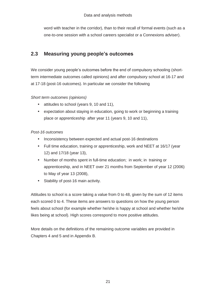word with teacher in the corridor), than to their recall of formal events (such as a one-to-one session with a school careers specialist or a Connexions adviser).

## **2.3 Measuring young people's outcomes**

 at 17-18 (post-16 outcomes). In particular we consider the following We consider young people's outcomes before the end of compulsory schooling (shortterm intermediate outcomes called opinions) and after compulsory school at 16-17 and

#### *Short term outcomes (opinions)*

- attitudes to school (years 9, 10 and 11),
- expectation about staying in education, going to work or beginning a training place or apprenticeship after year 11 (years 9, 10 and 11),

#### *Post-16 outcomes*

- Inconsistency between expected and actual post-16 destinations
- Full time education, training or apprenticeship, work and NEET at 16/17 (year 12) and 17/18 (year 13),
- Number of months spent in full-time education; in work; in training or apprenticeship, and in NEET over 21 months from September of year 12 (2006) to May of year 13 (2008),
- Stability of post-16 main activity.

 Attitudes to school is a score taking a value from 0 to 48, given by the sum of 12 items likes being at school). High scores correspond to more positive attitudes. each scored 0 to 4. These items are answers to questions on how the young person feels about school (for example whether he/she is happy at school and whether he/she

More details on the definitions of the remaining outcome variables are provided in Chapters 4 and 5 and in Appendix B.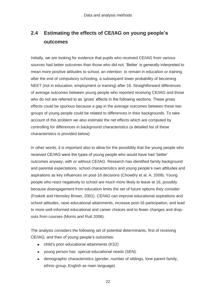## **2.4 Estimating the effects of CE/IAG on young people's outcomes**

 of average outcomes between young people who reported receiving CE/IAG and those Initially, we are looking for evidence that pupils who received CE/IAG from various sources had better outcomes than those who did not. 'Better' is generally interpreted to mean more positive attitudes to school, an intention to remain in education or training after the end of compulsory schooling, a subsequent lower probability of becoming NEET (not in education, employment or training) after 16. Straightforward differences who do not are referred to as 'gross' effects in the following sections. These gross effects could be spurious because a gap in the average outcomes between these two groups of young people could be related to differences in their backgrounds. To take account of this problem we also estimate the net effects which are computed by controlling for differences in background characteristics (a detailed list of these characteristics is provided below)

In other words, it is important also to allow for the possibility that the young people who received CE/IAG were the types of young people who would have had 'better' outcomes anyway, with or without CE/IAG. Research has identified family background and parental expectations, school characteristics and young people's own attitudes and aspirations as key influences on post-16 decisions (Chowdry et al. A. 2009). Young people who react negatively to school are much more likely to leave at 16, possibly because disengagement from education limits the set of future options they consider (Foskett and Hemsley Brown, 2001). CE/IAG can improve educational aspirations and school attitudes, raise educational attainments, increase post-16 participation, and lead to more well-informed educational and career choices and to fewer changes and dropouts from courses (Morris and Rutt 2006).

 The analysis considers the following set of potential determinants, first of receiving CE/IAG, and then of young people's outcomes:

- child's prior educational attainments (KS2)
- young person has special educational needs (SEN).
- demographic characteristics (gender, number of siblings, lone parent family, ethnic group, English as main language)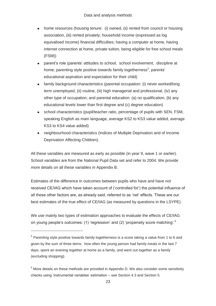- home resources (housing tenure: (i) owned, (ii) rented from council or housing association, (iii) rented privately; household income (expressed as log equivalised income) financial difficulties; having a computer at home, having internet connection at home, private tuition, being eligible for free school meals (FSM))
- parent's role (parents' attitudes to school, school involvement, discipline at home, parenting style positive towards family togetherness<sup>5</sup>, parents' educational aspiration and expectation for their child)
- other type of occupation; and parental education: (a) no qualification, (b) any • family background characteristics (parental occupation: (i) never worked/long term unemployed, (ii) routine, (iii) high managerial and professional, (iv) any educational levels lower than first degree and (c) degree education)
- school characteristics (pupil/teacher ratio, percentage of pupils with SEN, FSM,  $\bullet$ speaking English as main language, average KS2 to KS3 value added, average KS3 to KS4 value added)
- neighbourhood characteristics (Indices of Multiple Deprivation and of Income Deprivation Affecting Children).

All these variables are measured as early as possible (in year 9, wave 1 or earlier). School variables are from the National Pupil Data set and refer to 2004. We provide more details on all these variables in Appendix B.

Estimates of the difference in outcomes between pupils who have and have not received CE/IAG which have taken account of ('controlled for') the potential influence of all these other factors are, as already said, referred to as 'net' effects. These are our best estimates of the true effect of CE/IAG (as measured by questions in the LSYPE).

We use mainly two types of estimation approaches to evaluate the effects of CE/IAG on young people's outcomes: (1) 'regression' and (2) 'propensity score matching'.<sup>6</sup>

-

 $5$  Parenting style positive towards family togetherness is a score taking a value from 1 to 6 and given by the sum of three items: how often the young person had family meals in the last 7 days, spent an evening together at home as a family, and went out together as a family (excluding shopping).

 checks using 'instrumental variables' estimation – see Section 4.3 and Section 5.  $6$  More details on these methods are provided in Appendix D. We also consider some sensitivity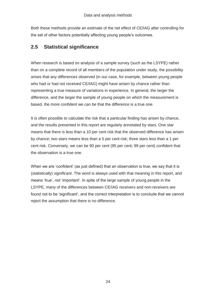Both these methods provide an estimate of the net effect of CE/IAG after controlling for the set of other factors potentially affecting young people's outcomes.

## **2.5 Statistical significance**

 who had or had not received CE/IAG) might have arisen by chance rather than representing a true measure of variations in experience. In general, the larger the based, the more confident we can be that the difference is a true one. When research is based on analysis of a sample survey (such as the LSYPE) rather than on a complete record of all members of the population under study, the possibility arises that any differences observed (in our case, for example, between young people difference, and the larger the sample of young people on which the measurement is

It is often possible to calculate the risk that a particular finding has arisen by chance, and the results presented in this report are regularly annotated by stars. One star means that there is less than a 10 per cent risk that the observed difference has arisen by chance; two stars means less than a 5 per cent risk; three stars less than a 1 per cent risk. Conversely, we can be 90 per cent (95 per cent; 99 per cent) confident that the observation is a true one.

reject the assumption that there is no difference. When we are 'confident' (as just defined) that an observation is true, we say that it is (statistically) *significant*. The word is always used with that meaning in this report, and means 'true', not 'important'. In spite of the large sample of young people in the LSYPE, many of the differences between CE/IAG receivers and non-receivers are found not to be 'significant', and the correct interpretation is to conclude that we cannot reject the assumption that there is no difference.<br>
<br>
24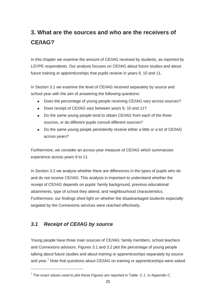## <span id="page-25-0"></span>**3. What are the sources and who are the receivers of CE/IAG?**

 In this chapter we examine the amount of CE/IAG received by students, as reported by LSYPE respondents. Our analysis focuses on CE/IAG about future studies and about future training or apprenticeships that pupils receive in years 9, 10 and 11.

school year with the aim of answering the following questions: In Section 3.1 we examine the level of CE/IAG received separately by source and

- Does the percentage of young people receiving CE/IAG vary across sources?
- Does receipt of CE/IAG vary between years 9, 10 and 11?
- sources, or do different pupils consult different sources? • Do the same young people tend to obtain CE/IAG from each of the three
- Do the same young people persistently receive either a little or a lot of CE/IAG across years?

experience across years 9 to 11. Furthermore, we consider an across-year measure of CE/IAG which summarizes

 attainments, type of school they attend, and neighbourhood characteristics. targeted by the Connexions services were reached effectively. In Section 3.2 we analyse whether there are differences in the types of pupils who do and do not receive CE/IAG. This analysis is important to understand whether the receipt of CE/IAG depends on pupils' family background, previous educational Furthermore, our findings shed light on whether the disadvantaged students especially

## *3.1 Receipt of CE/IAG by source*

-

 Young people have three main sources of CE/IAG: family members, school teachers and Connexions advisors. Figures 3.1 and 3.2 plot the percentage of young people talking about future studies and about training or apprenticeships separately by source and year.<sup>7</sup> Note that questions about CE/IAG on training or apprenticeships were asked

 $7$  The exact values used to plot these Figures are reported in Table C.1 in Appendix C.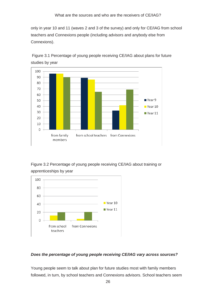only in year 10 and 11 (waves 2 and 3 of the survey) and only for CE/IAG from school Connexions). teachers and Connexions people (including advisors and anybody else from



 Figure 3.1 Percentage of young people receiving CE/IAG about plans for future studies by year

 Figure 3.2 Percentage of young people receiving CE/IAG about training or apprenticeships by year



#### *Does the percentage of young people receiving CE/IAG vary across sources?*

Young people seem to talk about plan for future studies most with family members followed, in turn, by school teachers and Connexions advisors. School teachers seem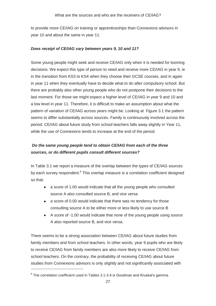year 10 and about the same in year 11. to provide more CE/IAG on training or apprenticeships than Connexions advisors in

#### *Does receipt of CE/IAG vary between years 9, 10 and 11?*

 while the use of Connexions tends to increase at the end of the period. Some young people might seek and receive CE/IAG only when it is needed for looming decisions. We expect this type of person to need and receive more CE/IAG in year 9, ie in the transition from KS3 to KS4 when they choose their GCSE courses, and in again in year 11 when they eventually have to decide what to do after compulsory school. But there are probably also other young people who do not postpone their decisions to the last moment. For those we might expect a higher level of CE/IAG in year 9 and 10 and a low level in year 11. Therefore, it is difficult to make an assumption about what the pattern of variation of CE/IAG across years might be. Looking at Figure 3.1 the pattern seems to differ substantially across sources. Family is continuously involved across the period. CE/IAG about future study from school teachers falls away slightly in Year 11,

## *Do the same young people tend to obtain CE/IAG from each of the three sources, or do different pupils consult different sources?*

In Table 3.1 we report a measure of the overlap between the types of CE/IAG sources by each survey respondent.<sup>8</sup> This overlap measure is a correlation coefficient designed so that:

- a score of 1.00 would indicate that all the young people who consulted source A also consulted source B, and vice versa
- a score of 0.00 would indicate that there was no tendency for those consulting source A to be either more or less likely to use source B
- A score of -1.00 would indicate that none of the young people using source A also reported source B, and vice versa.

 There seems to be a strong association between CE/IAG about future studies from to receive CE/IAG from family members are also more likely to receive CE/IAG from school teachers. On the contrary, the probability of receiving CE/IAG about future family members and from school teachers. In other words, year 9 pupils who are likely studies from Connexions advisors is only slightly and not significantly associated with

-

 $8$  The correlation coefficient used in Tables 3.1-3.4 is Goodman and Kruskal's gamma.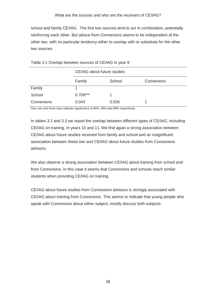school and family CE/IAG. The first two sources tend to act in combination, potentially two sources. reinforcing each other. But advice from Connexions seems to be independent of the other two, with no particular tendency either to overlap with or substitute for the other

|            | CE/IAG about future studies |        |            |  |  |  |
|------------|-----------------------------|--------|------------|--|--|--|
|            | Family                      | School | Connexions |  |  |  |
| Family     |                             |        |            |  |  |  |
| School     | $0.709***$                  |        |            |  |  |  |
| Connexions | 0.043                       | 0.026  |            |  |  |  |

| two sources.                                          |  |  |  |
|-------------------------------------------------------|--|--|--|
|                                                       |  |  |  |
| Table 3.1 Overlap between sources of CE/IAG in year 9 |  |  |  |

One, two and three stars indicate significance at 90%, 95% and 99% respectively.

In tables 3.2 and 3.3 we report the overlap between different types of CE/IAG, including CE/IAG on training, in years 10 and 11. We find again a strong association between CE/IAG about future studies received from family and school and an insignificant association between these two and CE/IAG about future studies from Connexions advisors.

students when providing CE/IAG on training. We also observe a strong association between CE/IAG about training from school and from Connexions. In this case it seems that Connexions and schools reach similar

CE/IAG about future studies from Connexions advisors is strongly associated with CE/IAG about training from Connexions. This seems to indicate that young people who speak with Connexions about either subject, mostly discuss both subjects.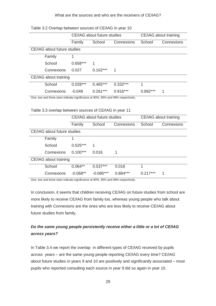#### What are the sources and who are the receivers of CE/IAG?

|                       |                             |            | CE/IAG about future studies |            |            | CE/IAG about training |
|-----------------------|-----------------------------|------------|-----------------------------|------------|------------|-----------------------|
|                       |                             | Family     | School                      | Connexions | School     | Connexions            |
|                       | CE/IAG about future studies |            |                             |            |            |                       |
|                       | Family                      | 1          |                             |            |            |                       |
|                       | School                      | $0.658***$ | 1                           |            |            |                       |
|                       | Connexions                  | 0.027      | $0.102***$                  | 1          |            |                       |
| CE/IAG about training |                             |            |                             |            |            |                       |
|                       | School                      | $0.028***$ | $0.465***$                  | $0.332***$ |            |                       |
|                       | Connexions                  | $-0.048$   | $0.261***$                  | $0.916***$ | $0.892***$ | 1                     |

Table 3.2 Overlap between sources of CE/IAG in year 10

One, two and three stars indicate significance at 90%, 95% and 99% respectively.

Table 3.3 overlap between sources of CE/IAG in year 11

|                       |                             |            | CE/IAG about future studies |            |            | CE/IAG about training |
|-----------------------|-----------------------------|------------|-----------------------------|------------|------------|-----------------------|
|                       |                             | Family     | School                      | Connexions | School     | Connexions            |
|                       | CE/IAG about future studies |            |                             |            |            |                       |
|                       | Family                      | 1          |                             |            |            |                       |
|                       | School                      | $0.525***$ | 1                           |            |            |                       |
|                       | Connexions                  | $0.100***$ | 0.016                       |            |            |                       |
| CE/IAG about training |                             |            |                             |            |            |                       |
|                       | School                      | $0.064**$  | $0.537***$                  | 0.016      | 1          |                       |
|                       | Connexions                  | $-0.068**$ | $-0.085***$                 | $0.884***$ | $0.217***$ | 1                     |

One, two and three stars indicate significance at 90%, 95% and 99% respectively.

 future studies from family. In conclusion, it seems that children receiving CE/IAG on future studies from school are more likely to receive CE/IAG from family too, whereas young people who talk about training with Connexions are the ones who are less likely to receive CE/IAG about

#### *Do the same young people persistently receive either a little or a lot of CE/IAG across years?*

 across years – are the same young people reporting CE/IAG every time? CE/IAG In Table 3.4 we report the overlap in different types of CE/IAG received by pupils about future studies in years 9 and 10 are positively and significantly associated – most pupils who reported consulting each source in year 9 did so again in year 10.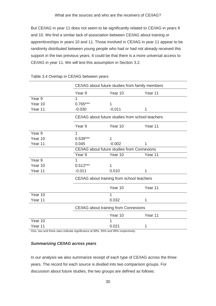and 10. We find a similar lack of association between CE/IAG about training or [But CE/IAG in year 11 does not seem to be significantly related to CE/IAG in years 9](#page-9-0) apprenticeships in years 10 and 11. Those involved in CE/IAG in year 11 appear to be randomly distributed between young people who had or had not already received this support in the two previous years. It could be that there is a more universal access to CE/IAG in year 11. We will test this assumption in Section 3.2.

|         |                                             | CE/IAG about future studies from family members  |         |  |
|---------|---------------------------------------------|--------------------------------------------------|---------|--|
|         | Year <sub>9</sub>                           | Year 10                                          | Year 11 |  |
| Year 9  | 1                                           |                                                  |         |  |
| Year 10 | $0.765***$                                  | 1                                                |         |  |
| Year 11 | $-0.030$                                    | $-0.011$                                         | 1       |  |
|         |                                             | CE/IAG about future studies from school teachers |         |  |
|         | Year <sub>9</sub>                           | Year 10                                          | Year 11 |  |
| Year 9  | 1                                           |                                                  |         |  |
| Year 10 | $0.539***$                                  | 1                                                |         |  |
| Year 11 | 0.045                                       | $-0.002$                                         | 1       |  |
|         | CE/IAG about future studies from Connexions |                                                  |         |  |
|         | Year <sub>9</sub>                           | Year $10$                                        | Year 11 |  |
| Year 9  | $\mathbf{1}$                                |                                                  |         |  |
| Year 10 | $0.512***$                                  | 1                                                |         |  |
| Year 11 | $-0.011$                                    | 0.010                                            | 1       |  |
|         |                                             | CE/IAG about training from school teachers       |         |  |
|         |                                             | Year 10                                          | Year 11 |  |
| Year 10 |                                             | 1                                                |         |  |
| Year 11 |                                             | 0.032                                            | 1       |  |
|         |                                             | CE/IAG about training from Connexions            |         |  |
|         |                                             | Year 10                                          | Year 11 |  |
| Year 10 |                                             | 1                                                |         |  |
| Year 11 |                                             | 0.021                                            | 1       |  |

#### Table 3.4 Overlap in CE/IAG between years

One, two and three stars indicate significance at 90%, 95% and 99% respectively.

#### *Summarizing CE/IAG across years*

 In our analysis we also summarize receipt of each type of CE/IAG across the three discussion about future studies, the two groups are defined as follows: years. The record for each source is divided into two comparison groups. For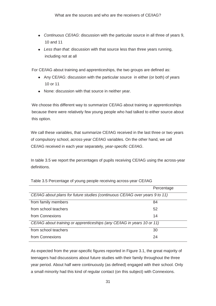- *Continuous CE/IAG*: discussion with the particular source in all three of years 9, 10 and 11
- *Less than that*: discussion with that source less than three years running, including not at all

For CE/IAG about training and apprenticeships, the two groups are defined as:

- Any CE/IAG: discussion with the particular source in either (or both) of years 10 or 11
- None: discussion with that source in neither year.

We choose this different way to summarize CE/IAG about training or apprenticeships because there were relatively few young people who had talked to either source about this option.

 We call these variables, that summarize CE/IAG received in the last three or two years of compulsory school, *across-year CE/IAG* variables. On the other hand, we call CE/IAG received in each year separately, *year-specific CE/IAG*.

In table 3.5 we report the percentages of pupils receiving CE/IAG using the across-year definitions.

|                                                                              | Percentage |
|------------------------------------------------------------------------------|------------|
| CE/IAG about plans for future studies (continuous CE/IAG over years 9 to 11) |            |
| from family members                                                          | 84         |
| from school teachers                                                         | 52         |
| from Connexions                                                              | 14         |
| CE/IAG about training or apprenticeships (any CE/IAG in years 10 or 11)      |            |
| from school teachers                                                         | 30         |
| from Connexions                                                              | 24         |

Table 3.5 Percentage of young people receiving across-year CE/IAG

 year period. About half were continuously (as defined) engaged with their school. Only As expected from the year-specific figures reported in Figure 3.1, the great majority of teenagers had discussions about future studies with their family throughout the three a small minority had this kind of regular contact (on this subject) with Connexions.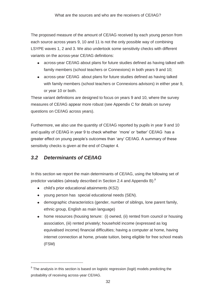The proposed measure of the amount of CE/IAG received by each young person from each source across years 9, 10 and 11 is not the only possible way of combining LSYPE waves 1, 2 and 3. We also undertook some sensitivity checks with different variants on the across-year CE/IAG definitions:

- across-year CE/IAG about plans for future studies defined as having talked with family members (school teachers or Connexions) in both years 9 and 10;
- across-year CE/IAG about plans for future studies defined as having talked with family members (school teachers or Connexions advisors) in either year 9, or year 10 or both.

These variant definitions are designed to focus on years 9 and 10, where the survey measures of CE/IAG appear more robust (see Appendix C for details on survey questions on CE/IAG across years).

 greater effect on young people's outcomes than 'any' CE/IAG. A summary of these sensitivity checks is given at the end of Chapter 4. Furthermore, we also use the quantity of CE/IAG reported by pupils in year 9 and 10 and quality of CE/IAG in year 9 to check whether 'more' or 'better' CE/IAG has a

## *3.2 Determinants of CE/IAG*

-

 In this section we report the main determinants of CE/IAG, using the following set of predictor variables (already described in Section 2.4 and Appendix B):<sup>9</sup>

- child's prior educational attainments (KS2)
- young person has special educational needs (SEN).
- demographic characteristics (gender, number of siblings, lone parent family, ethnic group, English as main language)
- home resources (housing tenure: (i) owned, (ii) rented from council or housing association, (iii) rented privately; household income (expressed as log equivalised income) financial difficulties; having a computer at home, having internet connection at home, private tuition, being eligible for free school meals (FSM)

<sup>&</sup>lt;sup>9</sup> The analysis in this section is based on logistic regression (logit) models predicting the probability of receiving across-year CE/IAG.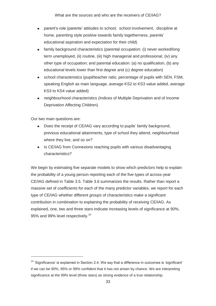What are the sources and who are the receivers of CE/IAG?

- parent's role (parents' attitudes to school, school involvement, discipline at home, parenting style positive towards family togetherness, parents' educational aspiration and expectation for their child)
- other type of occupation; and parental education: (a) no qualification, (b) any family background characteristics (parental occupation: (i) never worked/long term unemployed, (ii) routine, (iii) high managerial and professional, (iv) any educational levels lower than first degree and (c) degree education)
- school characteristics (pupil/teacher ratio, percentage of pupils with SEN, FSM, speaking English as main language, average KS2 to KS3 value added, average KS3 to KS4 value added)
- neighbourhood characteristics (Indices of Multiple Deprivation and of Income Deprivation Affecting Children)

Our two main questions are:

-

- Does the receipt of CE/IAG vary according to pupils' family background, previous educational attainments, type of school they attend, neighbourhood where they live, and so on?
- Is CE/IAG from Connexions reaching pupils with various disadvantaging characteristics?

 the probability of a young person reporting each of the five types of across-year massive set of coefficients for each of the many predictor variables, we report for each type of CE/IAG whether different *groups* of characteristics make a significant contribution *in combination* to explaining the probability of receiving CE/IAG. As We begin by estimating five separate models to show which predictors help to explain CE/IAG defined in Table 3.5. Table 3.6 summarizes the results. Rather than report a explained, one, two and three stars indicate increasing levels of significance at 90%, 95% and 99% level respectively.<sup>10</sup>

 $10$  'Significance' is explained in Section 2.4. We say that a difference in outcomes is 'significant' if we can be 90%, 95% or 99% confident that it has not arisen by chance. We are interpreting significance at the 99% level (three stars) as strong evidence of a true relationship.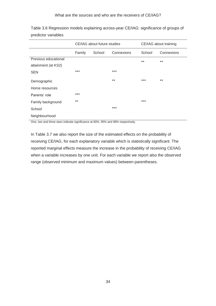|                      | CE/IAG about future studies |        |            | CE/IAG about training |            |
|----------------------|-----------------------------|--------|------------|-----------------------|------------|
|                      | Family                      | School | Connexions | School                | Connexions |
| Previous educational |                             |        |            | $***$                 | $***$      |
| attainment (at KS2)  |                             |        |            |                       |            |
| <b>SEN</b>           | ***                         |        | ***        |                       |            |
| Demographic          |                             |        | $***$      | $***$                 | $***$      |
| Home resources       |                             |        |            |                       |            |
| Parents' role        | ***                         |        |            |                       |            |
| Family background    | $***$                       |        |            | $***$                 |            |
| School               |                             |        | ***        |                       |            |
| Neighbourhood        |                             |        |            |                       |            |

 Table 3.6 Regression models explaining across-year CE/IAG: significance of groups of predictor variables

One, two and three stars indicate significance at 90%, 95% and 99% respectively.

 receiving CE/IAG, for each explanatory variable which is statistically significant. The range (observed minimum and maximum values) between parentheses. In Table 3.7 we also report the size of the estimated effects on the probability of reported marginal effects measure the increase in the probability of receiving CE/IAG when a variable increases by one unit. For each variable we report also the observed range (observed minimum and maximum values) between parentheses. 34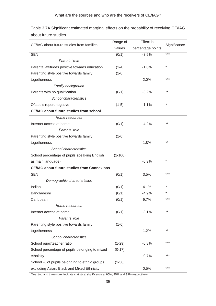| CE/IAG about future studies from families          | Range of  | Effect in         | Significance |
|----------------------------------------------------|-----------|-------------------|--------------|
|                                                    | values    | percentage points |              |
| <b>SEN</b>                                         | (0/1)     | $-3.5%$           | ***          |
| Parents' role                                      |           |                   |              |
| Parental attitudes positive towards education      | $(1-4)$   | $-1.0%$           | $^\star$     |
| Parenting style positive towards family            | $(1-6)$   |                   |              |
| togetherness                                       |           | 2.0%              | ***          |
| Family background                                  |           |                   |              |
| Parents with no qualification                      | (0/1)     | $-3.2%$           | $***$        |
| School characteristics                             |           |                   |              |
| Ofsted's report negative                           | $(1-5)$   | $-1.1%$           | $\ast$       |
| <b>CE/IAG about future studies from school</b>     |           |                   |              |
| Home resources                                     |           |                   |              |
| Internet access at home                            | (0/1)     | $-4.2%$           | $***$        |
| Parents' role                                      |           |                   |              |
| Parenting style positive towards family            | $(1-6)$   |                   |              |
| togetherness                                       |           | 1.8%              | $***$        |
| School characteristics                             |           |                   |              |
| School percentage of pupils speaking English       | $(1-100)$ |                   |              |
| as main language)                                  |           | $-0.3%$           | *            |
| <b>CE/IAG about future studies from Connexions</b> |           |                   |              |
| <b>SEN</b>                                         | (0/1)     | 3.5%              | ***          |
| Demographic characteristics                        |           |                   |              |
| Indian                                             | (0/1)     | 4.1%              | $^\star$     |
| Bangladeshi                                        | (0/1)     | $-4.9%$           |              |
| Caribbean                                          | (0/1)     | 9.7%              | ***          |
| Home resources                                     |           |                   |              |
| Internet access at home                            | (0/1)     | $-3.1%$           | $***$        |
| Parents' role                                      |           |                   |              |
| Parenting style positive towards family            | $(1-6)$   |                   |              |
| togetherness                                       |           | 1.2%              | $***$        |
| School characteristics                             |           |                   |              |
| School pupil/teacher ratio                         | $(1-29)$  | $-0.8%$           | ***          |
| School percentage of pupils belonging to mixed     | $(0-17)$  |                   |              |
| ethnicity                                          |           | $-0.7%$           | ***          |
| School % of pupils belonging to ethnic groups      | $(1-36)$  |                   |              |
| excluding Asian, Black and Mixed Ethnicity         |           | 0.5%              | ***          |

 Table 3.7A Significant estimated marginal effects on the probability of receiving CE/IAG about future studies

One, two and three stars indicate statistical significance at 90%, 95% and 99% respectively.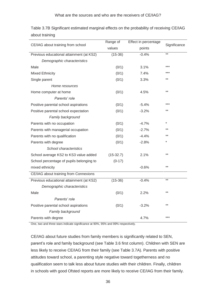|                                          | Range of    | Effect in percentage | Significance |
|------------------------------------------|-------------|----------------------|--------------|
| CE/IAG about training from school        | values      | points               |              |
| Previous educational attainment (at KS2) | $(15-36)$   | $-0.4%$              | $***$        |
| Demographic characteristics              |             |                      |              |
| Male                                     | (0/1)       | 3.1%                 | ***          |
| <b>Mixed Ethnicity</b>                   | (0/1)       | 7.4%                 | ***          |
| Single parent                            | (0/1)       | 3.3%                 | $***$        |
| Home resources                           |             |                      |              |
| Home computer at home                    | (0/1)       | 4.5%                 | $***$        |
| Parents' role                            |             |                      |              |
| Positive parental school aspirations     | (0/1)       | $-5.4%$              | ***          |
| Positive parental school expectation     | (0/1)       | $-3.2%$              | $***$        |
| Family background                        |             |                      |              |
| Parents with no occupation               | (0/1)       | $-4.7%$              | $\star$      |
| Parents with managerial occupation       | (0/1)       | $-2.7%$              | $**$         |
| Parents with no qualification            | (0/1)       | $-4.4%$              | $***$        |
| Parents with degree                      | (0/1)       | $-2.8%$              | $\star$      |
| School characteristics                   |             |                      |              |
| School average KS2 to KS3 value added    | $(15-32.7)$ | 2.1%                 | $***$        |
| School percentage of pupils belonging to | $(0-17)$    |                      |              |
| mixed ethnicity                          |             | $-0.6%$              | $***$        |
| CE/IAG about training from Connexions    |             |                      |              |
| Previous educational attainment (at KS2) | $(15-36)$   | $-0.4%$              | $***$        |
| Demographic characteristics              |             |                      |              |
| Male                                     | (0/1)       | 2.2%                 | **           |
| Parents' role                            |             |                      |              |
| Positive parental school aspirations     | (0/1)       | $-3.2%$              | $***$        |
| Family background                        |             |                      |              |
| Parents with degree                      |             | 4.7%                 | ***          |

 Table 3.7B Significant estimated marginal effects on the probability of receiving CE/IAG about training

One, two and three stars indicate significance at 90%, 95% and 99% respectively.

 in schools with good Ofsted reports are more likely to receive CE/IAG from their family. CE/IAG about future studies from family members is significantly related to SEN, parent's role and family background (see Table 3.6 first column). Children with SEN are less likely to receive CE/IAG from their family (see Table 3.7A). Parents with positive attitudes toward school, a parenting style negative toward togetherness and no qualification seem to talk less about future studies with their children. Finally, children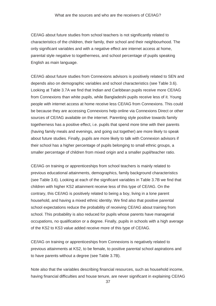CE/IAG about future studies from school teachers is not significantly related to characteristics of the children, their family, their school and their neighbourhood. The only significant variables and with a negative effect are internet access at home, parental style negative to togetherness, and school percentage of pupils speaking English as main language.

 people with internet access at home receive less CE/IAG from Connexions. This could about future studies. Finally, pupils are more likely to talk with Connexion advisors if their school has a higher percentage of pupils belonging to small ethnic groups, a smaller percentage of children from mixed origin and a smaller pupil/teacher ratio. CE/IAG about future studies from Connexions advisors is positively related to SEN and depends also on demographic variables and school characteristics (see Table 3.6). Looking at Table 3.7A we find that Indian and Caribbean pupils receive more CE/IAG from Connexions than white pupils, while Bangladeshi pupils receive less of it. Young be because they are accessing Connexions help online via Connexions Direct or other sources of CE/IAG available on the internet. Parenting style positive towards family togetherness has a positive effect, i.e. pupils that spend more time with their parents (having family meals and evenings, and going out together) are more likely to speak

 children with higher KS2 attainment receive less of this type of CE/IAG. On the household, and having a mixed ethnic identity. We find also that positive parental of the KS2 to KS3 value added receive more of this type of CE/IAG. CE/IAG on training or apprenticeships from school teachers is mainly related to previous educational attainments, demographics, family background characteristics (see Table 3.6). Looking at each of the significant variables in Table 3.7B we find that contrary, this CE/IAG is positively related to being a boy, living in a lone parent school expectations reduce the probability of receiving CE/IAG about training from school. This probability is also reduced for pupils whose parents have managerial occupations, no qualification or a degree. Finally, pupils in schools with a high average

to have parents without a degree (see Table 3.7B). CE/IAG on training or apprenticeships from Connexions is negatively related to previous attainments at KS2, to be female, to positive parental school aspirations and

Note also that the variables describing financial resources, such as household income, having financial difficulties and house tenure, are never significant in explaining CE/IAG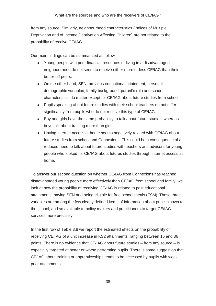probability of receive CE/IAG. from any source. Similarly, neighbourhood characteristics (Indices of Multiple Deprivation and of Income Deprivation Affecting Children) are not related to the

probability of receive CE/IAG.<br>Our main findings can be summarized as follow:

- better-off peers. Young people with poor financial resources or living in a disadvantaged neighbourhood do not seem to receive either more or less CE/IAG than their
- characteristics do matter except for CE/IAG about future studies from school. • On the other hand, SEN, previous educational attainment, personal demographic variables, family background, parent's role and school
- Pupils speaking about future studies with their school teachers do not differ significantly from pupils who do not receive this type of CE/IAG.
- boys talk about training more than girls. Boy and girls have the same probability to talk about future studies, whereas
- future studies from school and Connexions. This could be a consequence of a home. Having internet access at home seems negatively related with CE/IAG about reduced need to talk about future studies with teachers and advisors for young people who looked for CE/IAG about futures studies through internet access at

 attainments, having SEN and being eligible for free school meals (FSM). These three services more precisely. To answer our second question on whether CE/IAG from Connexions has reached disadvantaged young people more effectively than CE/IAG from school and family, we look at how the probability of receiving CE/IAG is related to past educational variables are among the few clearly defined items of information about pupils known to the school, and so available to policy makers and practitioners to target CE/IAG

In the first row of Table 3.8 we report the estimated effects on the probability of receiving CE/IAG of a unit increase in KS2 attainments, ranging between 15 and 36 points. There is no evidence that CE/IAG about future studies – from any source – is especially targeted at better or worse performing pupils. There is some suggestion that CE/IAG about training or apprenticeships tends to be accessed by pupils with weak prior attainments.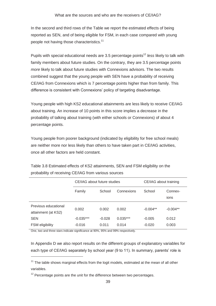people not having those characteristics.<sup>11</sup> In the second and third rows of the Table we report the estimated effects of being reported as SEN, and of being eligible for FSM, in each case compared with young

 combined suggest that the young people with SEN have a probability of receiving Pupils with special educational needs are 3.5 percentage points<sup>12</sup> less likely to talk with family members about future studies. On the contrary, they are 3.5 percentage points *more* likely to talk about future studies with Connexions advisors. The two results CE/IAG from Connexions which is 7 percentage points higher than from family. This difference is consistent with Connexions' policy of targeting disadvantage.

 probability of talking about training (with either schools or Connexions) of about 4 Young people with high KS2 educational attainments are less likely to receive CE/IAG about training. An increase of 10 points in this score implies a decrease in the percentage points.

Young people from poorer background (indicated by eligibility for free school meals) are neither more nor less likely than others to have taken part in CE/IAG activities, once all other factors are held constant.

|                                             | CE/IAG about future studies |          | CE/IAG about training |            |                 |  |
|---------------------------------------------|-----------------------------|----------|-----------------------|------------|-----------------|--|
|                                             | Family                      | School   | Connexions            | School     | Connex-<br>ions |  |
| Previous educational<br>attainment (at KS2) | 0.002                       | 0.002    | 0.002                 | $-0.004**$ | $-0.004**$      |  |
| <b>SEN</b>                                  | $-0.035***$                 | $-0.028$ | $0.035***$            | $-0.005$   | 0.012           |  |
| <b>FSM</b> eligibility                      | $-0.016$                    | 0.011    | 0.014                 | $-0.020$   | 0.003           |  |

Table 3.8 Estimated effects of KS2 attainments, SEN and FSM eligibility on the probability of receiving CE/IAG from various sources

One, two and three stars indicate significance at 90%, 95% and 99% respectively.

-

In Appendix D we also report results on the different groups of explanatory variables for each type of CE/IAG separately by school year (9 to 11). In summary, parents' role is

 $11$  The table shows marginal effects from the logit models, estimated at the mean of all other variables.

 $12$  Percentage points are the unit for the difference between two percentages.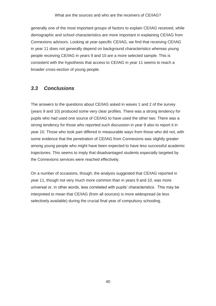Connexions advisors. Looking at year-specific CE/IAG, we find that receiving CE/IAG generally one of the most important groups of factors to explain CE/IAG received, while demographic and school characteristics are more important in explaining CE/IAG from in year 11 does not generally depend on background characteristics whereas young people receiving CE/IAG in years 9 and 10 are a more selected sample. This is consistent with the hypothesis that access to CE/IAG in year 11 seems to reach a broader cross-section of young people.

### *3.3 Conclusions*

 The answers to the questions about CE/IAG asked in waves 1 and 2 of the survey (years 9 and 10) produced some very clear profiles. There was a strong tendency for pupils who had used one source of CE/IAG to have used the other two. There was a strong tendency for those who reported such discussion in year 9 also to report it in year 10. Those who took part differed in measurable ways from those who did not, with some evidence that the penetration of CE/IAG from Connexions was slightly greater among young people who might have been expected to have less successful academic trajectories. This seems to imply that disadvantaged students especially targeted by the Connexions services were reached effectively.

 universal or, in other words, less correlated with pupils' characteristics. This may be selectively available) during the crucial final year of compulsory schooling. On a number of occasions, though, the analysis suggested that CE/IAG reported in year 11, though not very much more common than in years 9 and 10, was more interpreted to mean that CE/IAG (from all sources) is more widespread (ie less selectively available) during the crucial final year of compulsory schooling.<br>
40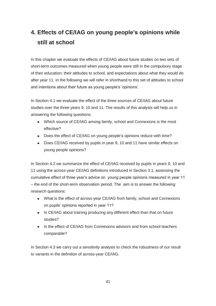In this chapter we evaluate the effects of CE/IAG about future studies on two sets of of their education: their attitudes to school, and expectations about what they would do short-term outcomes measured when young people were still in the compulsory stage after year 11. In the following we will refer in shorthand to this set of attitudes to school and intentions about their future as young people's 'opinions'.

 In Section 4.1 we evaluate the effect of the three sources of CE/IAG about future answering the following questions: studies over the three years 9, 10 and 11. The results of this analysis will help us in

- answering the following questions: Which source of CE/IAG among family, school and Connexions is the most effective?
	- Does the effect of CE/IAG on young people's opinions reduce with time?
	- Does CE/IAG received by pupils in year 9, 10 and 11 have similar effects on young people opinions?

 – the end of the short-term observation period. The aim is to answer the following In Section 4.2 we summarize the effect of CE/IAG received by pupils in years 9, 10 and 11 using the across-year CE/IAG definitions introduced in Section 3.1, assessing the cumulative effect of three year's advice on young people opinions measured in year 11 research questions:

- What is the effect of across-year CE/IAG from family, school and Connexions on pupils' opinions reported in year 11?
- Is CE/IAG about training producing any different effect than that on future studies?
- comparable? • Is the effect of CE/IAG from Connexions advisors and from school teachers

In Section 4.3 we carry out a sensitivity analysis to check the robustness of our result to variants in the definition of across-year CE/IAG.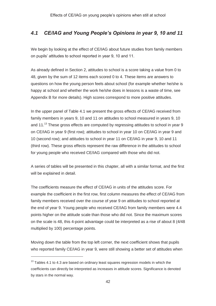# *4.1 CE/IAG and Young People's Opinions in year 9, 10 and 11*

We begin by looking at the effect of CE/IAG about future studies from family members on pupils' attitudes to school reported in year 9, 10 and 11.

As already defined in Section 2, attitudes to school is a score taking a value from 0 to 48, given by the sum of 12 items each scored 0 to 4. These items are answers to questions on how the young person feels about school (for example whether he/she is happy at school and whether the work he/she does in lessons is a waste of time, see Appendix B for more details). High scores correspond to more positive attitudes.

 on CE/IAG in year 9 (first row); attitudes to school in year 10 on CE/IAG in year 9 and (third row). These gross effects represent the raw difference in the attitudes to school for young people who received CE/IAG compared with those who did not. In the upper panel of Table 4.1 we present the gross effects of CE/IAG received from family members in years 9, 10 and 11 on attitudes to school measured in years 9, 10 and 11.<sup>13</sup> These gross effects are computed by regressing attitudes to school in year 9 10 (second row); and attitudes to school in year 11 on CE/IAG in year 9, 10 and 11

A series of tables will be presented in this chapter, all with a similar format, and the first will be explained in detail.

 example the coefficient in the first row, first column measures the effect of CE/IAG from family members received over the course of year 9 on attitudes to school reported at The coefficients measure the effect of CE/IAG in units of the attitudes score. For the end of year 9. Young people who received CE/IAG from family members were 4.4 points higher on the attitude scale than those who did not. Since the maximum scores on the scale is 48, this 4-point advantage could be interpreted as a rise of about 8 (4/48 multiplied by 100) percentage points.

Moving down the table from the top left corner, the next coefficient shows that pupils who reported family CE/IAG in year 9, were still showing a better set of attitudes when

-

 $13$  Tables 4.1 to 4.3 are based on ordinary least squares regression models in which the coefficients can directly be interpreted as increases in attitude scores. Significance is denoted by stars in the normal way.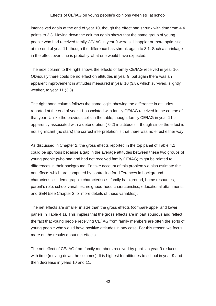interviewed again at the end of year 10, though the effect had shrunk with time from 4.4 points to 3.3. Moving down the column again shows that the same group of young people who had received family CE/IAG in year 9 were still happier or more optimistic at the end of year 11, though the difference has shrunk again to 3.1. Such a shrinkage in the effect over time is probably what one would have expected.

weaker, to year  $11$  (3.3). The next column to the right shows the effects of family CE/IAG received in year 10. Obviously there could be no effect on attitudes in year 9, but again there was an apparent improvement in attitudes measured in year 10 (3.8), which survived, slightly

not significant (no stars) the correct interpretation is that there was no effect either way. The right hand column follows the same logic, showing the difference in attitudes reported at the end of year 11 associated with family CE/IAG received in the course of that year. Unlike the previous cells in the table, though, family CE/IAG in year 11 is apparently associated with a deterioration (-0.2) in attitudes – though since the effect is

 could be spurious because a gap in the average attitudes between these two groups of differences in their background. To take account of this problem we also estimate the parent's role, school variables, neighbourhood characteristics, educational attainments and SEN (see Chapter 2 for more details of these variables). As discussed in Chapter 2, the gross effects reported in the top panel of Table 4.1 young people (who had and had not received family CE/IAG) might be related to net effects which are computed by controlling for differences in background characteristics: demographic characteristics, family background, home resources,

 The net effects are smaller in size than the gross effects (compare upper and lower more on the results about net effects. panels in Table 4.1). This implies that the gross effects are in part spurious and reflect the fact that young people receiving CE/IAG from family members are often the sorts of young people who would have positive attitudes in any case. For this reason we focus

 The net effect of CE/IAG from family members received by pupils in year 9 reduces with time (moving down the columns). It is highest for attitudes to school in year 9 and then decrease in years 10 and 11.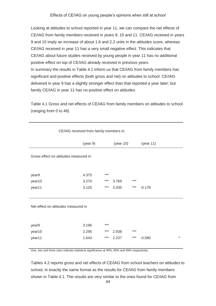CE/IAG from family members received in years 9, 10 and 11. CE/IAG received in years positive effect on top of CE/IAG already received in previous years. positive effect on top of CE/IAG already received in previous years.<br>In summary the results in Table 4.1 inform us that CE/IAG from family members has delivered in year 9 has a slightly stronger effect than that reported a year later; but Looking at attitudes to school reported in year 11, we can compare the net effects of 9 and 10 imply an increase of about 1.6 and 2.2 units in the attitudes score, whereas CE/IAG received in year 11 has a very small negative effect. This indicates that CE/IAG about future studies received by young people in year 11 has no additional significant and positive effects (both gross and net) on attitudes to school. CE/IAG family CE/IAG in year 11 has no positive effect on attitudes.

Table 4.1 Gross and net effects of CE/IAG from family members on attitudes to school (ranging from 0 to 48)

| CE/IAG received from family members in. |          |       |           |     |                    |  |  |
|-----------------------------------------|----------|-------|-----------|-----|--------------------|--|--|
|                                         | (year 9) |       | (year 10) |     | (year 11)          |  |  |
| Gross effect on attitudes measured in   |          |       |           |     |                    |  |  |
|                                         |          |       |           |     |                    |  |  |
| year9                                   | 4.375    | $***$ |           |     |                    |  |  |
| year10                                  | 3.270    | ***   | 3.769     | *** |                    |  |  |
| year11                                  | 3.125    | $***$ | 3.330     | *** | $-0.178$           |  |  |
|                                         |          |       |           |     |                    |  |  |
| Net effect on attitudes measured in     |          |       |           |     |                    |  |  |
|                                         |          |       |           |     |                    |  |  |
| year9                                   | 3.196    | $***$ |           |     |                    |  |  |
| year10                                  | 2.295    | $***$ | 2.938     | *** |                    |  |  |
| year11                                  | 1.643    | $***$ | 2.237     | *** | $\ast$<br>$-0.580$ |  |  |
|                                         |          |       |           |     |                    |  |  |

One, two and three stars indicate statistical significance at 90%, 95% and 99% respectively.

 Tables 4.2 reports gross and net effects of CE/IAG from school teachers on attitudes to school, in exactly the same format as the results for CE/IAG from family members shown in Table 4.1. The results are very similar to the ones found for CE/IAG from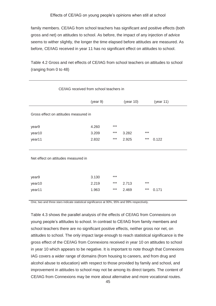before, CE/IAG received in year 11 has no significant effect on attitudes to school. family members. CE/IAG from school teachers has significant and positive effects (both gross and net) on attitudes to school. As before, the impact of any injection of advice seems to wither slightly, the longer the time elapsed before attitudes are measured. As

Table 4.2 Gross and net effects of CE/IAG from school teachers on attitudes to school (ranging from 0 to 48)

| CE/IAG received from school teachers in |          |       |           |       |           |  |
|-----------------------------------------|----------|-------|-----------|-------|-----------|--|
|                                         | (year 9) |       | (year 10) |       | (year 11) |  |
| Gross effect on attitudes measured in   |          |       |           |       |           |  |
| year9                                   | 4.260    | $***$ |           |       |           |  |
| year10                                  | 3.209    | ***   | 3.282     | $***$ |           |  |
| year11                                  | 2.832    | ***   | 2.925     | ***   | 0.122     |  |
|                                         |          |       |           |       |           |  |
| Net effect on attitudes measured in     |          |       |           |       |           |  |
| year9                                   | 3.130    | ***   |           |       |           |  |
| year10                                  | 2.219    | ***   | 2.713     | $***$ |           |  |
| year11                                  | 1.963    | ***   | 2.469     | ***   | 0.171     |  |
|                                         |          |       |           |       |           |  |

One, two and three stars indicate statistical significance at 90%, 95% and 99% respectively.

 in year 10 which appears to be negative. It is important to note though that Connexions IAG covers a wider range of domains (from housing to careers, and from drug and improvement in attitudes to school may not be among its direct targets. The content of Table 4.3 shows the parallel analysis of the effects of CE/IAG from Connexions on young people's attitudes to school. In contrast to CE/IAG from family members and school teachers there are no significant positive effects, neither gross nor net, on attitudes to school. The only impact large enough to reach statistical significance is the gross effect of the CE/IAG from Connexions received in year 10 on attitudes to school alcohol abuse to education) with respect to those provided by family and school, and CE/IAG from Connexions may be more about alternative and more vocational routes.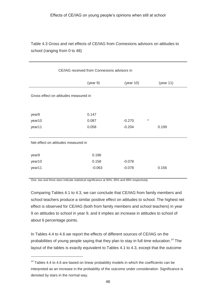Table 4.3 Gross and net effects of CE/IAG from Connexions advisors on attitudes to school (ranging from 0 to 48)

| CE/IAG received from Connexions advisors in |          |                     |           |  |  |  |  |
|---------------------------------------------|----------|---------------------|-----------|--|--|--|--|
|                                             | (year 9) | (year $10$ )        | (year 11) |  |  |  |  |
| Gross effect on attitudes measured in       |          |                     |           |  |  |  |  |
|                                             |          |                     |           |  |  |  |  |
| year9                                       | 0.147    |                     |           |  |  |  |  |
| year10                                      | 0.087    | $\star$<br>$-0.270$ |           |  |  |  |  |
| year11                                      | 0.058    | $-0.204$            | 0.199     |  |  |  |  |
|                                             |          |                     |           |  |  |  |  |
| Net effect on attitudes measured in         |          |                     |           |  |  |  |  |
|                                             |          |                     |           |  |  |  |  |
| year9                                       | 0.196    |                     |           |  |  |  |  |
| year10                                      | 0.158    | $-0.078$            |           |  |  |  |  |
| year11                                      | $-0.063$ | $-0.078$            | 0.156     |  |  |  |  |
|                                             |          |                     |           |  |  |  |  |

One, two and three stars indicate statistical significance at 90%, 95% and 99% respectively.

-

 Comparing Tables 4.1 to 4.3, we can conclude that CE/IAG from family members and effect is observed for CE/IAG (both from family members and school teachers) in year 9 on attitudes to school in year 9, and it implies an increase in attitudes to school of school teachers produce a similar positive effect on attitudes to school. The highest net about 6 percentage points.

In Tables 4.4 to 4.6 we report the effects of different sources of CE/IAG on the probabilities of young people saying that they plan to stay in full time education.<sup>14</sup> The layout of the tables is exactly equivalent to Tables 4.1 to 4.3, except that the outcome

 interpreted as an increase in the probability of the outcome under consideration. Significance is  $14$  Tables 4.4 to 4.6 are based on linear probability models in which the coefficients can be denoted by stars in the normal way.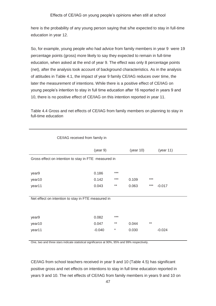here is the probability of any young person saying that s/he expected to stay in full-time education in year 12.

 percentage points (gross) more likely to say they expected to remain in full-time education, when asked at the end of year 9. The effect was only 8 percentage points of attitudes in Table 4.1, the impact of year 9 family CE/IAG reduces over time, the young people's intention to stay in full time education after 16 reported in years 9 and So, for example, young people who had advice from family members in year 9 were 19 (net), after the analysis took account of background characteristics. As in the analysis later the measurement of intentions. While there is a positive effect of CE/IAG on 10, there is no positive effect of CE/IAG on this intention reported in year 11.

Table 4.4 Gross and net effects of CE/IAG from family members on planning to stay in full-time education

|                                                      | (year 9) |         | (year $10$ ) |       | (year $11$ ) |
|------------------------------------------------------|----------|---------|--------------|-------|--------------|
| Gross effect on intention to stay in FTE measured in |          |         |              |       |              |
|                                                      |          |         |              |       |              |
| year9                                                | 0.186    | $***$   |              |       |              |
| year10                                               | 0.142    | ***     | 0.109        | ***   |              |
| year11                                               | 0.043    | $***$   | 0.063        | $***$ | $-0.017$     |
|                                                      |          |         |              |       |              |
| Net effect on intention to stay in FTE measured in   |          |         |              |       |              |
|                                                      |          |         |              |       |              |
|                                                      |          | $***$   |              |       |              |
| year9                                                | 0.082    |         |              |       |              |
| year10                                               | 0.047    | $***$   | 0.044        | $***$ |              |
| year11                                               | $-0.040$ | $^\ast$ | 0.030        |       | $-0.024$     |
|                                                      |          |         |              |       |              |

CE/IAG received from family in

One, two and three stars indicate statistical significance at 90%, 95% and 99% respectively.

CE/IAG from school teachers received in year 9 and 10 (Table 4.5) has significant positive gross and net effects on intentions to stay in full time education reported in years 9 and 10. The net effects of CE/IAG from family members in years 9 and 10 on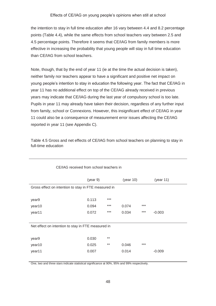4.5 percentage points. Therefore it seems that CE/IAG from family members is more the intention to stay in full time education after 16 vary between 4.4 and 8.2 percentage points (Table 4.4), while the same effects from school teachers vary between 2.5 and effective in increasing the probability that young people will stay in full time education than CE/IAG from school teachers.

 reported in year 11 (see Appendix C). Note, though, that by the end of year 11 (ie at the time the actual decision is taken), neither family nor teachers appear to have a significant and positive net impact on young people's intention to stay in education the following year. The fact that CE/IAG in year 11 has no additional effect on top of the CE/IAG already received in previous years may indicate that CE/IAG during the last year of compulsory school is too late. Pupils in year 11 may already have taken their decision, regardless of any further input from family, school or Connexions. However, this insignificant effect of CE/IAG in year 11 could also be a consequence of measurement error issues affecting the CE/IAG

 Table 4.5 Gross and net effects of CE/IAG from school teachers on planning to stay in full-time education

| CE/IAG received from school teachers in              |          |       |           |       |           |  |
|------------------------------------------------------|----------|-------|-----------|-------|-----------|--|
|                                                      | (year 9) |       | (year 10) |       | (year 11) |  |
| Gross effect on intention to stay in FTE measured in |          |       |           |       |           |  |
|                                                      |          |       |           |       |           |  |
| year9                                                | 0.113    | ***   |           |       |           |  |
| year10                                               | 0.094    | $***$ | 0.074     | $***$ |           |  |
| year11                                               | 0.072    | ***   | 0.034     | $***$ | $-0.003$  |  |
|                                                      |          |       |           |       |           |  |
| Net effect on intention to stay in FTE measured in   |          |       |           |       |           |  |
|                                                      |          |       |           |       |           |  |
| year9                                                | 0.030    | $***$ |           |       |           |  |
| year10                                               | 0.025    | $***$ | 0.046     | $***$ |           |  |
| year11                                               | 0.007    |       | 0.014     |       | $-0.009$  |  |
|                                                      |          |       |           |       |           |  |

CE/IAG received from school teachers in

One, two and three stars indicate statistical significance at 90%, 95% and 99% respectively.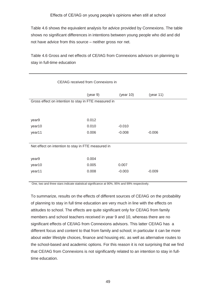Table 4.6 shows the equivalent analysis for advice provided by Connexions. The table not have advice from this source – neither gross nor net. shows no significant differences in intentions between young people who did and did

Table 4.6 Gross and net effects of CE/IAG from Connexions advisors on planning to stay in full-time education

| CE/IAG received from Connexions in                   |          |              |           |  |  |  |
|------------------------------------------------------|----------|--------------|-----------|--|--|--|
|                                                      | (year 9) | (year $10$ ) | (year 11) |  |  |  |
| Gross effect on intention to stay in FTE measured in |          |              |           |  |  |  |
|                                                      |          |              |           |  |  |  |
| year9                                                | 0.012    |              |           |  |  |  |
| year10                                               | 0.010    | $-0.010$     |           |  |  |  |
| year11                                               | 0.006    | $-0.008$     | $-0.006$  |  |  |  |
|                                                      |          |              |           |  |  |  |
| Net effect on intention to stay in FTE measured in   |          |              |           |  |  |  |
|                                                      |          |              |           |  |  |  |
| year9                                                | 0.004    |              |           |  |  |  |
| year10                                               | 0.005    | 0.007        |           |  |  |  |
| year11                                               | 0.008    | $-0.003$     | $-0.009$  |  |  |  |
|                                                      |          |              |           |  |  |  |

One, two and three stars indicate statistical significance at 90%, 95% and 99% respectively.

 the school-based and academic options. For this reason it is not surprising that we find that CE/IAG from Connexions is not significantly related to an intention to stay in fulltime education. To summarize, results on the effects of different sources of CE/IAG on the probability of planning to stay in full time education are very much in line with the effects on attitudes to school. The effects are quite significant only for CE/IAG from family members and school teachers received in year 9 and 10, whereas there are no significant effects of CE/IAG from Connexions advisors. This latter CE/IAG has a different focus and content to that from family and school; in particular it can be more about wider lifestyle choices, finance and housing etc. as well as alternative routes to time education.<br>
49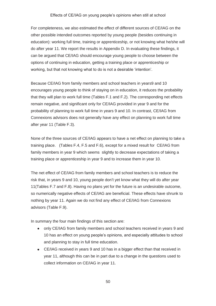do after year 11. We report the results in Appendix D. In evaluating these findings, it For completeness, we also estimated the effect of different sources of CE/IAG on the other possible intended outcomes reported by young people (besides continuing in education): working full time, training or apprenticeship, or not knowing what he/she will can be argued that CE/IAG should encourage young people to choose between the options of continuing in education, getting a training place or apprenticeship or working, but that not knowing what to do is not a desirable 'intention'.

 that they will plan to work full time (Tables F.1 and F.2). The corresponding net effects remain negative, and significant only for CE/IAG provided in year 9 and for the probability of planning to work full time in years 9 and 10. In contrast, CE/IAG from Connexions advisors does not generally have any effect on planning to work full time after year 11 (Table F.3). Because CE/IAG from family members and school teachers in years9 and 10 encourages young people to think of staying on in education, it reduces the probability

 family members in year 9 which seems slightly to decrease expectations of taking a None of the three sources of CE/IAG appears to have a net effect on planning to take a training place. (Tables F.4, F.5 and F.6), except for a mixed result for CE/IAG from training place or apprenticeship in year 9 and to increase them in year 10.

 The net effect of CE/IAG from family members and school teachers is to reduce the nothing by year 11. Again we do not find any effect of CE/IAG from Connexions advisors (Table F.9). risk that, in years 9 and 10, young people don't yet know what they will do after year 11(Tables F.7 and F.8). Having no plans yet for the future is an undesirable outcome, so numerically negative effects of CE/IAG are beneficial. These effects have shrunk to

In summary the four main findings of this section are:

- In summary the four main findings of this section are:<br>only CE/IAG from family members and school teachers received in years 9 and and planning to stay in full time education. 10 has an effect on young people's opinions, and especially attitudes to school
	- $\bullet$  CE/IAG received in years 9 and 10 has in a bigger effect than that received in year 11, although this can be in part due to a change in the questions used to collect information on CE/IAG in year 11.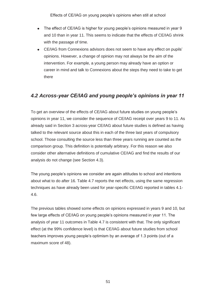- The effect of CE/IAG is higher for young people's opinions measured in year 9 and 10 than in year 11. This seems to indicate that the effects of CE/IAG shrink with the passage of time.
- CE/IAG from Connexions advisors does not seem to have any effect on pupils' career in mind and talk to Connexions about the steps they need to take to get opinions. However, a change of opinion may not always be the aim of the intervention. For example, a young person may already have an option or there

# *4.2 Across-year CE/IAG and young people's opinions in year 11*

 talked to the relevant source about this in each of the three last years of compulsory analysis do not change (see Section 4.3). To get an overview of the effects of CE/IAG about future studies on young people's opinions in year 11, we consider the sequence of CE/IAG receipt over years 9 to 11. As already said in Section 3 across-year CE/IAG about future studies is defined as having school. Those consulting the source less than three years running are counted as the comparison group. This definition is potentially arbitrary. For this reason we also consider other alternative definitions of cumulative CE/IAG and find the results of our

The young people's opinions we consider are again attitudes to school and intentions about what to do after 16. Table 4.7 reports the net effects, using the same regression techniques as have already been used for year-specific CE/IAG reported in tables 4.1- 4.6.

maximum score of 48). The previous tables showed some effects on opinions expressed in years 9 and 10, but few large effects of CE/IAG on young people's opinions measured in year 11. The analysis of year 11 outcomes in Table 4.7 is consistent with that. The only significant effect (at the 99% confidence level) is that CE/IAG about future studies from school teachers improves young people's optimism by an average of 1.3 points (out of a maximum score of 48).<br>
51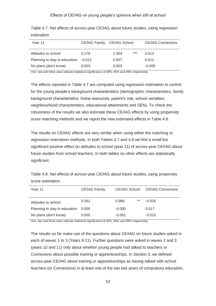| Year 11                       |          | CE/IAG Family CE/IAG School |       | <b>CE/IAG Connexions</b> |
|-------------------------------|----------|-----------------------------|-------|--------------------------|
| Attitudes to school           | 0.178    | 1.304                       | $***$ | 0.014                    |
| Planning to stay in education | $-0.013$ | 0.007                       |       | 0.012                    |
| No plans (don't know)         | 0.003    | 0.003                       |       | $-0.006$                 |

Table 4.7: Net effects of across-year CE/IAG about future studies, using regression estimation

One, two and three stars indicate statistical significance at 90%, 95% and 99% respectively.

 robustness of the results we also estimate these CE/IAG effects by using propensity score matching methods and we report the new estimated effects in Table 4.8. The effects reported in Table 4.7 are computed using regression estimation to control for the young people's background characteristics (demographic characteristics, family background characteristics, home resources, parent's role, school variables, neighbourhood characteristics, educational attainments and SEN). To check the

significant. The results on CE/IAG effects are very similar when using either the matching or regression estimation methods. In both Tables 4.7 and 4.8 we find a small but significant positive effect on attitudes to school (year 11) of across-year CE/IAG about future studies from school teachers. In both tables no other effects are statistically

Table 4.8: Net effects of across-year CE/IAG about future studies, using propensity score estimation

| Year 11                       | CE/IAG Family | CE/IAG School | <b>CE/IAG Connexions</b> |
|-------------------------------|---------------|---------------|--------------------------|
| Attitudes to school           | 0.261         | **<br>0.966   | $-0.026$                 |
| Planning to stay in education | 0.005         | $-0.000$      | 0.017                    |
| No plans (don't know)         | 0.005         | $-0.001$      | $-0.015$                 |

One, two and three stars indicate statistical significance at 90%, 95% and 99% respectively.

 The results so far make use of the questions about CE/IAG on future studies asked in each of waves 1 to 3 (Years 9-11). Further questions were asked in waves 2 and 3 (years 10 and 11) only about whether young people had talked to teachers or Connexions about possible training or apprenticeships. In Section 3, we defined across-year CE/IAG about training or apprenticeships as having talked with school teachers (or Connexions) in at least one of the two last years of compulsory education.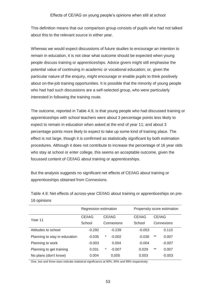about this to the relevant source in either year. This definition means that our comparison group consists of pupils who had not talked

 interested in following the training route. Whereas we would expect discussions of future studies to encourage an intention to remain in education, it is not clear what outcome should be expected when young people discuss training or apprenticeships. Advice givers might still emphasise the potential value of continuing in academic or vocational education; or, given the particular nature of the enquiry, might encourage or enable pupils to think positively about on-the-job training opportunities. It is possible that the minority of young people who had had such discussions are a self-selected group, who were particularly

 apprenticeships with school teachers were about 3 percentage points less likely to percentage points more likely to expect to take up some kind of training place. The effect is not large, though it is confirmed as statistically significant by both estimation who stay at school or enter college, this seems an acceptable outcome, given the The outcome, reported in Table 4.9, is that young people who had discussed training or expect to remain in education when asked at the end of year 11; and about 3 procedures. Although it does not contribute to increase the percentage of 16 year olds focussed content of CE/IAG about training or apprenticeships.

But the analysis suggests no significant net effects of CE/IAG about training or apprenticeships obtained from Connexions.

|                               | Regression estimation |               | Propensity score estimation |                |  |  |
|-------------------------------|-----------------------|---------------|-----------------------------|----------------|--|--|
| Year 11                       | CE/IAG                | CE/IAG        | CE/IAG                      | CE/IAG         |  |  |
|                               | School                | Connexions    | School                      | Connexions     |  |  |
| Attitudes to school           | $-0.292$              | $-0.239$      | $-0.053$                    | 0.110          |  |  |
| Planning to stay in education | $-0.035$              | *<br>$-0.002$ | $-0.030$                    | $***$<br>0.007 |  |  |
| Planning to work              | $-0.003$              | 0.004         | $-0.004$                    | $-0.007$       |  |  |
| Planning to get training      | 0.031                 | *<br>$-0.007$ | 0.029                       | $***$<br>0.007 |  |  |
| No plans (don't know)         | 0.004                 | 0.005         | 0.003                       | $-0.003$       |  |  |

Table 4.9: Net effects of across-year CE/IAG about training or apprenticeships on pre-16 opinions

One, two and three stars indicate statistical significance at 90%, 95% and 99% respectively.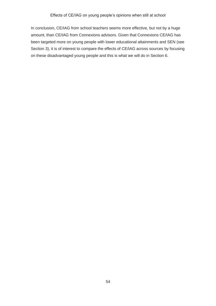Section 3), it is of interest to compare the effects of CE/IAG across sources by focusing on these disadvantaged young people and this is what we will do in Section 6. In conclusion, CE/IAG from school teachers seems more effective, but not by a huge amount, than CE/IAG from Connexions advisors. Given that Connexions CE/IAG has been targeted more on young people with lower educational attainments and SEN (see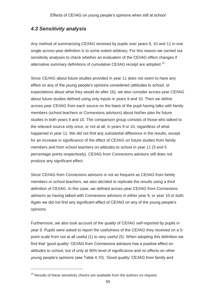# *4.3 Sensitivity analysis*

alternative summary definitions of cumulative CE/IAG receipt are adopted.<sup>15</sup> Any method of summarizing CE/IAG received by pupils over years 9, 10 and 11 in one single across-year definition is to some extent arbitrary. For this reason we carried out sensitivity analyses to check whether an evaluation of the CE/IAG effect changes if

 for an increase in significance of the effect of CE/IAG on future studies from family produce any significant effect. Since CE/IAG about future studies provided in year 11 does not seem to have any effect on any of the young people's opinions considered (attitudes to school, or expectations about what they would do after 16), we also consider across-year CE/IAG about future studies defined using only inputs in years 9 and 10. Then we define across-year CE/IAG from each source on the basis of the pupil having talks with family members (school teachers or Connexions advisors) about his/her plan for future studies in both years 9 and 10. The comparison group consists of those who talked to the relevant source only once, or not at all, in years 9 or 10, regardless of what happened in year 11. We did not find any substantial difference in the results, except members and from school teachers on attitudes to school in year 11 (3 and 5 percentage points respectively). CE/IAG from Connexions advisors still does not

produce any significant effect.<br>Since CE/IAG from Connexions advisors is not as frequent as CE/IAG from family members or school teachers, we also decided to replicate the results using a third definition of CE/IAG. In this case, we defined across-year CE/IAG from Connexions advisors as having talked with Connexions advisors in either year 9, or year 10 or both. Again we did not find any significant effect of CE/IAG on any of the young people's opinions.

 Furthermore, we also took account of the *quality* of CE/IAG self-reported by pupils in point scale from not at all useful (1) to very useful (5). When adopting this definition we young people's opinions (see Table 4.10). 'Good quality' CE/IAG from family and year 9. Pupils were asked to report the usefulness of the CE/IAG they received on a 5 find that 'good quality' CE/IAG from Connexions advisors has a positive effect on attitudes to school, but of only at 90% level of significance and no effects on other

-

 $15$  Results of these sensitivity checks are available from the authors on request.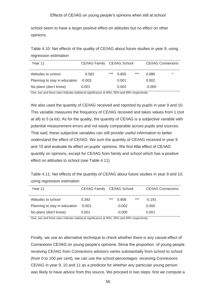school seem to have a larger positive effect on attitudes but no effect on other opinions.

Table 4.10: Net effects of the quality of CE/IAG about future studies in year 9, using regression estimation

| Year 11                       |        | CE/IAG Family CE/IAG School |       | <b>CE/IAG Connexions</b> |          |        |
|-------------------------------|--------|-----------------------------|-------|--------------------------|----------|--------|
| Attitudes to school           | 0.582  | ***                         | 0.855 | $***$                    | 0.086    | $\ast$ |
| Planning to stay in education | -0.003 |                             | 0.001 |                          | 0.002    |        |
| No plans (don't know)         | 0.001  |                             | 0.002 |                          | $-0.000$ |        |

One, two and three stars indicate statistical significance at 90%, 95% and 99% respectively.

 We also used the quantity of CE/IAG received and reported by pupils in year 9 and 10. This variable measures the frequency of CE/IAG received and takes values from 1 (not at all) to 5 (a lot). As for the quality, the quantity of CE/IAG is a subjective variable with understand the effect of CE/IAG. We sum the quantity of CE/IAG received in year 9 effect on attitudes to school (see Table 4.11). potential measurement errors and not easily comparable across pupils and sources. That said, these subjective variables can still provide useful information to better and 10 and evaluate its effect on pupils' opinions. We find little effect of CE/IAG quantity on opinions, except for CE/IAG from family and school which has a positive

effect on attitudes to school (see Table 4.11).<br>Table 4.11: Net effects of the quantity of CE/IAG about future studies in year 9 and 10, using regression estimation

| Year 11                       |        | CE/IAG Family CE/IAG School |          |     | <b>CE/IAG Connexions</b> |
|-------------------------------|--------|-----------------------------|----------|-----|--------------------------|
| Attitudes to school           | 0.392  | ***                         | 0.908    | *** | $-0.191$                 |
| Planning to stay in education | -0.001 |                             | $-0.002$ |     | 0.000                    |
| No plans (don't know)         | 0.001  |                             | $-0.000$ |     | 0.001                    |

One, two and three stars indicate statistical significance at 90%, 95% and 99% respectively.

 (from 0 to 100 per cent), we can use the school percentages receiving Connexions was likely to have advice from this source. We proceed in two steps: first we compute a Finally, we use an alternative technique to check whether there is any causal effect of Connexions CE/IAG on young people's opinions. Since the proportion of young people receiving CE/IAG from Connexions advisors varies substantially from school to school CE/IAG in year 9, 10 and 11 as a predictor for whether any particular young person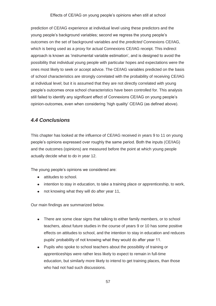prediction of CE/IAG experience at individual level using these predictors and the young people's background variables; second we regress the young people's outcomes on the set of background variables and the *predicted* Connexions CE/IAG, which is being used as a proxy for actual Connexions CE/IAG receipt. This indirect approach is known as 'instrumental variable estimation', and is designed to avoid the possibility that individual young people with particular hopes and expectations were the ones most likely to seek or accept advice. The CE/IAG variables predicted on the basis of school characteristics are strongly correlated with the probability of receiving CE/IAG at individual level; but it is assumed that they are not directly correlated with young people's outcomes once school characteristics have been controlled for. This analysis still failed to identify any significant effect of Connexions CE/IAG on young people's opinion-outcomes, even when considering 'high quality' CE/IAG (as defined above).

# *4.4 Conclusions*

This chapter has looked at the influence of CE/IAG received in years 9 to 11 on young people's opinions expressed over roughly the same period. Both the inputs (CE/IAG) and the outcomes (opinions) are measured before the point at which young people actually decide what to do in year 12.

The young people's opinions we considered are:

- attitudes to school.
- intention to stay in education, to take a training place or apprenticeship, to work,
- not knowing what they will do after year 11,

Our main findings are summarized below.

- There are some clear signs that talking to either family members, or to school teachers, about future studies in the course of years 9 or 10 has some positive effects on attitudes to school, and the intention to stay in education and reduces pupils' probability of not knowing what they would do after year 11.
- Pupils who spoke to school teachers about the possibility of training or apprenticeships were rather less likely to expect to remain in full-time education, but similarly more likely to intend to get training places, than those who had not had such discussions.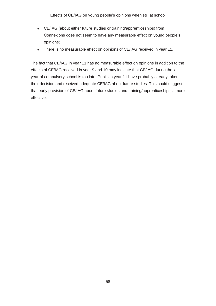- CE/IAG (about either future studies or training/apprenticeships) from Connexions does not seem to have any measurable effect on young people's opinions;
- There is no measurable effect on opinions of CE/IAG received in year 11.

 There is no measurable effect on opinions of CE/IAG received in year 11. The fact that CE/IAG in year 11 has no measurable effect on opinions in addition to the effective. effects of CE/IAG received in year 9 and 10 may indicate that CE/IAG during the last year of compulsory school is too late. Pupils in year 11 have probably already taken their decision and received adequate CE/IAG about future studies. This could suggest that early provision of CE/IAG about future studies and training/apprenticeships is more effective. 58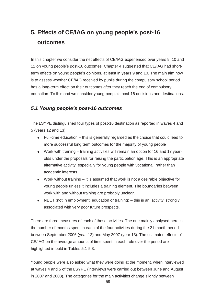# **5. Effects of CE/IAG on young people's post-16 outcomes**

 education. To this end we consider young people's post-16 decisions and destinations. In this chapter we consider the net effects of CE/IAG experienced over years 9, 10 and 11 on young people's post-16 outcomes. Chapter 4 suggested that CE/IAG had shortterm effects on young people's opinions, at least in years 9 and 10. The main aim now is to assess whether CE/IAG received by pupils during the compulsory school period has a long-term effect on their outcomes after they reach the end of compulsory

### *5.1 Young people's post-16 outcomes*

The LSYPE distinguished four types of post-16 destination as reported in waves 4 and 5 (years 12 and 13)

- Full-time education this is generally regarded as the choice that could lead to more successful long term outcomes for the majority of young people
- alternative activity, especially for young people with vocational, rather than Work with training – training activities will remain an option for 16 and 17 yearolds under the proposals for raising the participation age. This is an appropriate academic interests.
- young people unless it includes a training element. The boundaries between Work without training – it is assumed that work is not a desirable objective for work with and without training are probably unclear.
- NEET (not in employment, education or training) this is an 'activity' strongly associated with very poor future prospects.

 CE/IAG on the average amounts of time spent in each role over the period are There are three measures of each of these activities. The one mainly analysed here is the number of months spent in each of the four activities during the 21 month period between September 2006 (year 12) and May 2007 (year 13). The estimated effects of highlighted in bold in Tables 5.1-5.3.

 at waves 4 and 5 of the LSYPE (interviews were carried out between June and August Young people were also asked what they were doing at the moment, when interviewed in 2007 and 2008). The categories for the main activities change slightly between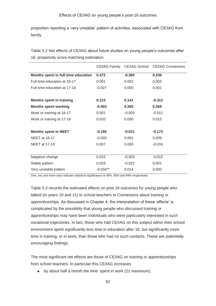## 4.3 Sensitivity analysis

Any method of summarizing CE/IAG received by pupils over years 9, 10 and 11 in one single across-year definition is to some extent arbitrary. For this reason we carried out sensitivity analyses to check whether an evaluation of the CE/IAG effect changes if alternative summary definitions of cumulative CE/IAG receipt are adopted.<sup>15</sup>

Since CE/IAG about future studies provided in year 11 does not seem to have any effect on any of the young peoples opinions considered (attitudes to school, or expectations about what they would do after 16), we also consider across-year CE/IAG about future studies defined using only inputs in years 9 and 10. Then we define across-year CE/IAG from each source on the basis of the pupil having talks with family members (school teachers or Connexions advisors) about his/her plan for future studies in both years 9 and 10. The comparison group consists of those who talked to the relevant source only once, or not at all, in years 9 or 10, regardless of what happened in year 11. We did not find any substantial difference in the results, except for an increase in significance of the effect of CE/IAG on future studies from family members and from school teachers on attitudes to school in year 11 (3 and 5 percentage points respectively). CE/IAG from Connexions advisors still does not produce any significant effect.

Since CE/IAG from Connexions advisors is not as frequent as CE/IAG from family members or school teachers, we also decided to replicate the results using a third definition of CE/IAG. In this case, we defined across-year CE/IAG from Connexions advisors as having talked with Connexions advisors in either year 9, or year 10 or both. Again we did not find any significant effet CE/IAG on any of the young peoples opinions.

Furthermore, we also took account of the quality of CE/IAG self-reported by pupils in year 9. Pupils were asked to report the usefulness of the CE/IAG they received on a 5point scale from not at all useful (1) to very useful (5). When adopting this definition we find that good quality'CE/IAG from Connexions advisors has a positive effect on attitudes to school, but of only at 90% level of significance and no effects on other young peoples opinions (see Table 4.10Good quality'CE/IAG from family and

<sup>&</sup>lt;sup>15</sup> Results of these sensitivity checks are available from the authors on request.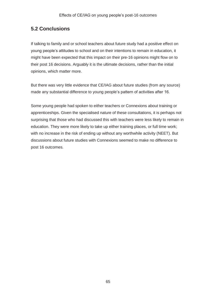Table 4.3 Gross and net effects of CE/IAG from Connexions advisors on attitudes to school (ranging from 0 to 48)

| CE/IAG received from Connexions advisors in |          |                     |           |  |  |  |
|---------------------------------------------|----------|---------------------|-----------|--|--|--|
|                                             | (year 9) | (year 10)           | (year 11) |  |  |  |
| Gross effect on attitudes measured in       |          |                     |           |  |  |  |
|                                             |          |                     |           |  |  |  |
| year9                                       | 0.147    |                     |           |  |  |  |
| year10                                      | 0.087    | $\star$<br>$-0.270$ |           |  |  |  |
| year11                                      | 0.058    | $-0.204$            | 0.199     |  |  |  |
|                                             |          |                     |           |  |  |  |
| Net effect on attitudes measured in         |          |                     |           |  |  |  |
|                                             |          |                     |           |  |  |  |
| year9                                       | 0.196    |                     |           |  |  |  |
| year10                                      | 0.158    | $-0.078$            |           |  |  |  |
| year11                                      | $-0.063$ | $-0.078$            | 0.156     |  |  |  |
|                                             |          |                     |           |  |  |  |

One, two and three stars indicate statistical significance at 90%, 95% and 99% respectively.

Comparing Tables 4.1 to 4.3, we can conclude that CE/IAG from family members and school teachers produce a similar positive effect on attitudes to school. The highest net effect is observed for CE/IAG (both from family members and school teachers) in year 9 on attitudes to school in year 9, and it implies an increase in attitudes to school of about 6 percentage points.

In Tables 4.4 to 4.6 we report the effects of different sources of CE/IAG on the probabilities of young people saying that they plan to stay in full time education.<sup>14</sup> The layout of the tables is exactly equivalent to Tables 4.1 to 4.3, except that the outcome

<sup>&</sup>lt;sup>14</sup> Tables 4.4 to 4.6 are based on linear probability models in which the coefficients can be interpreted as an increase in the probability of the outcome under consideration. Significance is denoted by stars in the normal way.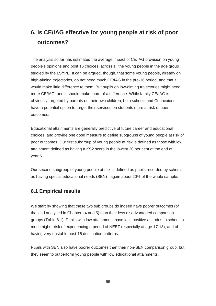# **6. Is CE/IAG effective for young people at risk of poor outcomes?**

 people's opinions and post 16 choices, across all the young people in the age group studied by the LSYPE. It can be argued, though, that some young people, already on high-aiming trajectories, do not need much CE/IAG in the pre-16 period, and that it have a potential option to target their services on students more at risk of poor outcomes. The analysis so far has estimated the average impact of CE/IAG provision on young would make little difference to them. But pupils on low-aiming trajectories might need more CE/IAG, and it should make more of a difference. While family CE/IAG is obviously targeted by parents on their own children, both schools and Connexions

 choices, and provide one good measure to define subgroups of young people at risk of attainment defined as having a KS2 score in the lowest 20 per cent at the end of vear 6. Educational attainments are generally predictive of future career and educational poor outcomes. Our first subgroup of young people at risk is defined as those with low

Our second subgroup of young people at risk is defined as pupils recorded by schools as having special educational needs (SEN) - again about 20% of the whole sample.

### **6.1 Empirical results**

We start by showing that these two sub groups do indeed have poorer outcomes (of the kind analysed in Chapters 4 and 5) than their less disadvantaged comparison groups (Table 6.1). Pupils with low attainments have less positive attitudes to school, a much higher risk of experiencing a period of NEET (especially at age 17-18), and of having very unstable post-16 destination patterns.

they seem to outperform young people with low educational attainments.<br>
66 Pupils with SEN also have poorer outcomes than their non-SEN comparison group, but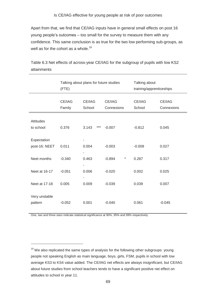Apart from that, we find that CE/IAG inputs have in general small effects on post 16 young people's outcomes – too small for the survey to measure them with any confidence. This same conclusion is as true for the two low performing sub-groups, as well as for the cohort as a whole.<sup>19</sup>

|                               | (FTE)            | Talking about plans for future studies | Talking about<br>training/apprenticeships |                  |                      |
|-------------------------------|------------------|----------------------------------------|-------------------------------------------|------------------|----------------------|
|                               | CE/IAG<br>Family | CE/IAG<br>School                       | CE/IAG<br>Connexions                      | CE/IAG<br>School | CE/IAG<br>Connexions |
| <b>Attitudes</b><br>to school | 0.376            | $***$<br>3.143                         | $-0.007$                                  | $-0.812$         | 0.045                |
| Expectation<br>post-16: NEET  | 0.011            | 0.004                                  | $-0.003$                                  | $-0.009$         | 0.027                |
| Neet months                   | $-0.340$         | 0.463                                  | $-0.894$<br>$^{\star}$                    | 0.287            | 0.317                |
| Neet at 16-17                 | $-0.051$         | 0.006                                  | $-0.020$                                  | 0.002            | 0.025                |
| Neet at 17-18                 | 0.005            | 0.009                                  | $-0.039$                                  | 0.039            | 0.007                |
| Very unstable<br>pattern      | $-0.052$         | 0.001                                  | $-0.040$                                  | 0.061            | $-0.045$             |

Table 6.3 Net effects of across-year CE/IAG for the subgroup of pupils with low KS2 attainments

One, two and three stars indicate statistical significance at 90%, 95% and 99% respectively.

-

 people not speaking English as main language, boys, girls, FSM, pupils in school with low  $19$  We also replicated the same types of analysis for the following other subgroups: young average KS3 to KS4 value added. The CE/IAG net effects are always insignificant, but CE/IAG about future studies from school teachers tends to have a significant positive net effect on attitudes to school in year 11.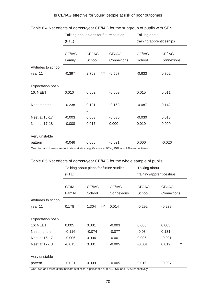### Is CE/IAG effective for young people at risk of poor outcomes

|                          | Talking about plans for future studies |              |            | Talking about            |            |  |
|--------------------------|----------------------------------------|--------------|------------|--------------------------|------------|--|
|                          | (FTE)                                  |              |            | training/apprenticeships |            |  |
|                          |                                        |              |            |                          |            |  |
|                          | CE/IAG                                 | CE/IAG       | CE/IAG     | CE/IAG                   | CE/IAG     |  |
|                          | Family                                 | School       | Connexions | School                   | Connexions |  |
| Attitudes to school      |                                        |              |            |                          |            |  |
| year 11                  | $-0.397$                               | ***<br>2.763 | $-0.567$   | $-0.633$                 | 0.702      |  |
|                          |                                        |              |            |                          |            |  |
| <b>Expectation post-</b> |                                        |              |            |                          |            |  |
| <b>16: NEET</b>          | 0.010                                  | 0.002        | $-0.009$   | 0.015                    | 0.011      |  |
|                          |                                        | ٠            |            |                          |            |  |
| Neet months              | $-0.238$                               | 0.131        | $-0.168$   | $-0.087$                 | 0.142      |  |
|                          |                                        | ٠            |            |                          |            |  |
| Neet at 16-17            | $-0.003$                               | 0.003        | $-0.030$   | $-0.030$                 | 0.018      |  |
| Neet at 17-18            | $-0.008$                               | 0.017        | 0.000      | 0.019                    | 0.009      |  |
|                          |                                        |              |            |                          |            |  |
| Very unstable            |                                        |              |            |                          |            |  |
| pattern                  | $-0.046$                               | 0.005        | $-0.021$   | 0.000                    | $-0.026$   |  |

#### Table 6.4 Net effects of across-year CE/IAG for the subgroup of pupils with SEN

One, two and three stars indicate statistical significance at 90%, 95% and 99% respectively.

|                          |          | Talking about plans for future studies | Talking about |                          |                |  |
|--------------------------|----------|----------------------------------------|---------------|--------------------------|----------------|--|
|                          | (FTE)    |                                        |               | training/apprenticeships |                |  |
|                          |          |                                        |               |                          |                |  |
|                          | CE/IAG   | CE/IAG                                 | CE/IAG        | CE/IAG                   | CE/IAG         |  |
|                          | Family   | School                                 | Connexions    | School                   | Connexions     |  |
| Attitudes to school      |          |                                        |               |                          |                |  |
| year 11                  | 0.178    | $***$<br>1.304                         | 0.014         | $-0.292$                 | $-0.239$       |  |
|                          |          |                                        |               |                          |                |  |
| <b>Expectation post-</b> |          |                                        |               |                          |                |  |
| 16: NEET                 | 0.005    | 0.001                                  | $-0.003$      | 0.006                    | 0.005          |  |
| Neet months              | $-0.116$ | $-0.074$                               | $-0.077$      | $-0.034$                 | 0.131          |  |
| Neet at 16-17            | $-0.006$ | 0.004                                  | $-0.001$      | 0.006                    | $-0.001$       |  |
| Neet at 17-18            | $-0.013$ | 0.001                                  | $-0.005$      | $-0.001$                 | $***$<br>0.019 |  |
|                          |          |                                        |               |                          |                |  |
| Very unstable            |          |                                        |               |                          |                |  |
| pattern                  | $-0.021$ | 0.009                                  | $-0.005$      | 0.016                    | $-0.007$       |  |

# One, two and three stars indicate statistical significance at 90%, 95% and 99% respectively.<br>Table 6.5 Net effects of across-year CE/IAG for the whole sample of pupils

One, two and three stars indicate statistical significance at 90%, 95% and 99% respectively.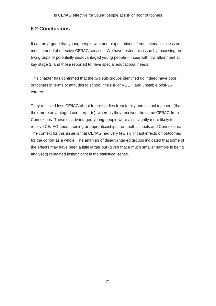# **6.2 Conclusions**

It can be argued that young people with poor expectations of educational success are most in need of effective CE/IAG services. We have tested this issue by focussing on two groups of potentially disadvantaged young people – those with low attainment at key stage 2, and those reported to have special educational needs.

 outcomes in terms of attitudes to school, the risk of NEET, and unstable post-16 This chapter has confirmed that the two sub-groups identified do indeed have poor careers.

 their more advantaged counterparts); whereas they received the same CE/IAG from receive CE/IAG about training or apprenticeships from both schools and Connexions. for the cohort as a whole. The analysis of disadvantaged groups indicated that some of They received less CE/IAG about future studies from family and school teachers (than Connexions. These disadvantaged young people were also slightly more likely to The context for this issue is that CE/IAG had very few significant effects on outcomes the effects may have been a little larger but (given that a much smaller sample is being analysed) remained insignificant in the statistical sense.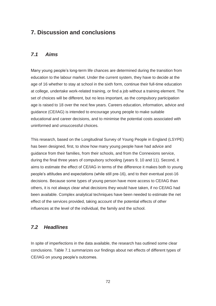# **7. Discussion and conclusions**

#### $7.1$ *7.1 Aims*

 education to the labour market. Under the current system, they have to decide at the Many young people's long-term life chances are determined during the transition from age of 16 whether to stay at school in the sixth form, continue their full-time education at college, undertake work-related training, or find a job without a training element. The set of choices will be different, but no less important, as the compulsory participation age is raised to 18 over the next few years. Careers education, information, advice and guidance (CE/IAG) is intended to encourage young people to make suitable educational and career decisions, and to minimise the potential costs associated with uninformed and unsuccessful choices.

 guidance from their families, from their schools, and from the Connexions service, during the final three years of compulsory schooling (years 9, 10 and 11). Second, it aims to estimate the effect of CE/IAG in terms of the difference it makes both to young others, it is not always clear what decisions they would have taken, if no CE/IAG had effect of the services provided, taking account of the potential effects of other This research, based on the Longitudinal Survey of Young People in England (LSYPE) has been designed, first, to show how many young people have had advice and people's attitudes and expectations (while still pre-16), and to their eventual post-16 decisions. Because some types of young person have more access to CE/IAG than been available. Complex analytical techniques have been needed to estimate the net influences at the level of the individual, the family and the school.

#### *7.2 Headlines*

In spite of imperfections in the data available, the research has outlined some clear conclusions. Table 7.1 summarizes our findings about net effects of different types of CE/IAG on young people's outcomes.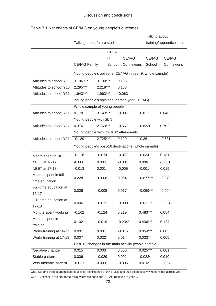|                                         |                                                          |            |        | Talking about |       |             |                          |
|-----------------------------------------|----------------------------------------------------------|------------|--------|---------------|-------|-------------|--------------------------|
|                                         | Talking about future studies                             |            |        |               |       |             | training/apprenticeships |
|                                         | CE/IA                                                    |            |        |               |       |             |                          |
|                                         |                                                          |            | G      | CE/IAG        |       | CE/IAG      | CE/IAG                   |
|                                         | CE/IAG Family                                            |            | School | Connexions    |       | School      | Connexions               |
|                                         | Young people's opinions (CE/IAG in year 9, whole sample) |            |        |               |       |             |                          |
| Attitudes to school Y9                  | 3.196 ***                                                | $3.130***$ |        | 0.196         |       |             |                          |
| Attitudes to school Y10                 | 2.295***                                                 | $2.219***$ |        | 0.158         |       |             |                          |
| Attitudes to school Y11                 | 1.643***                                                 | 1.963***   |        | $-0.063$      |       |             |                          |
|                                         | Young people's opinions (across-year CE/IAG)             |            |        |               |       |             |                          |
|                                         | Whole sample of young people                             |            |        |               |       |             |                          |
| Attitudes to school Y11                 | 0.178                                                    | $3.143***$ |        | $-0.007$      |       | $-0.812$    | 0.046                    |
|                                         | Young people with SEN                                    |            |        |               |       |             |                          |
| Attitudes to school Y11                 | 0.376                                                    | $2.763***$ |        | $-0.567$      |       | $-0.6330$   | 0.702                    |
|                                         | Young people with low KS2 attainments                    |            |        |               |       |             |                          |
| Attitudes to school Y11                 | $-0.189$                                                 | $2.725***$ |        | 0.129         |       | $-0.361$    | $-0.581$                 |
|                                         | Young people's post-16 destinations (whole sample)       |            |        |               |       |             |                          |
| Month spent in NEET                     | $-0.116$                                                 | $-0.074$   |        | $-0.077$      |       | $-0.034$    | 0.131                    |
| <b>NEET at 16-17</b>                    | $-0.006$                                                 | 0.004      |        | $-0.001$      | 0.006 |             | $-0.001$                 |
| <b>NEET at 17-18</b>                    | $-0.013$                                                 | 0.001      |        | $-0.005$      |       | $-0.001$    | 0.019                    |
| Months spent in full-<br>time education | 0.228                                                    | $-0.008$   |        | 0.054         |       | $-0.877***$ | $-0.279$                 |
| Full-time education at<br>$16 - 17$     | 0.005                                                    | $-0.005$   |        | 0.017         |       | $-0.059***$ | $-0.004$                 |
| Full-time education at<br>$17 - 18$     | 0.006                                                    | $-0.023$   |        | $-0.009$      |       | $-0.032**$  | $-0.024*$                |
| Months spent working                    | $-0.162$                                                 | $-0.124$   |        | 0.219         |       | $0.483***$  | 0.054                    |
| Months spent in<br>training             | 0.102                                                    | $-0.019$   |        | $-0.234*$     |       | $0.436***$  | 0.124                    |
| Work/ training at 16-17                 | 0.001                                                    | 0.001      |        | $-0.015$      |       | $0.054***$  | 0.005                    |
| Work/ training at 17-18                 | 0.007                                                    | $0.022*$   |        | 0.014         |       | $0.033**$   | 0.005                    |
|                                         | Post-16 changes in the main activity (whole sample)      |            |        |               |       |             |                          |
| Negative change                         | 0.015                                                    | 0.003      |        | 0.000         |       | $0.025***$  | 0.001                    |
| Stable pattern                          | 0.006                                                    | $-0.029$   |        | 0.001         |       | $-0.023*$   | 0.010                    |
| Very unstable pattern                   | $-0.021*$                                                | 0.009      |        | $-0.005$      |       | $0.016*$    | $-0.007$                 |

#### Table 7.1 Net effects of CE/IAG on young people's outcomes

 One, two and three stars indicate statistical significance at 90%, 95% and 99% respectively. We consider across-year CE/IAG except in the first three rows where we consider CE/IAG received in year 9.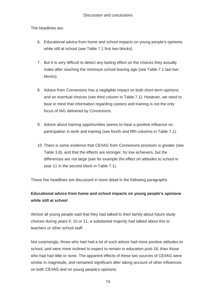The headlines are:

- 6. Educational advice from home and school impacts on young people's opinions while still at school (see Table 7.1 first two blocks).
- make after reaching the minimum school leaving age (see Table 7.1 last two 7. But it is very difficult to detect any lasting effect on the choices they actually blocks).
- and on eventual choices (see third column in Table 7.1). However, we need to 8. Advice from Connexions has a negligible impact on both short-term opinions bear in mind that information regarding careers and training is not the only focus of IAG delivered by Connexions.
- 9. Advice about training opportunities seems to have a positive influence on participation in work and training (see fourth and fifth columns in Table 7.1).
- Table 3.8), and that the effects are stronger, for low achievers, but the 10. There is some evidence that CE/IAG from Connexions provision is greater (see differences are not large (see for example the effect on attitudes to school in year 11 in the second block in Table 7.1).

These five headlines are discussed in more detail in the following paragraphs.

# **Educational advice from home and school impacts on young people's opinions while still at school**

 Almost all young people said that they had talked to their family about future study choices during years 9, 10 or 11; a substantial majority had talked about this to teachers or other school staff.

 similar in magnitude, and remained significant after taking account of other influences Not surprisingly, those who had had a lot of such advice had more positive attitudes to school, and were more inclined to expect to remain in education post-16, than those who had had little or none. The apparent effects of these two sources of CE/IAG were on both CE/IAG and on young people's opinions.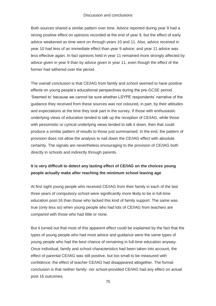#### Discussion and conclusions

Both sources shared a similar pattern over time. Advice reported during year 9 had a strong positive effect on opinions recorded at the end of year 9, but the effect of early advice weakened as time went on through years 10 and 11. Also, advice received in year 10 had less of an immediate effect than year 9 advice; and year 11 advice was less effective again. In fact opinions held in year 11 remained more strongly affected by advice given in year 9 than by advice given in year 11, even though the effect of the former had withered over the period.

 The overall conclusion is that CE/IAG from family and school seemed to have positive 'Seemed to' because we cannot be sure whether LSYPE respondents' narrative of the and expectations at the time they took part in the survey. If those with enthusiastic produce a similar pattern of results to those just summarised. In the end, the pattern of effects on young people's educational perspectives during the pre-GCSE period. guidance they received from these sources was not coloured, in part, by their attitudes underlying views of education tended to talk up the reception of CE/IAG, while those with pessimistic or cynical underlying views tended to talk it down, then that could provision does not allow the analysis to nail down the CE/IAG effect with absolute certainty. The signals are nevertheless encouraging to the provision of CE/IAG both directly in schools and indirectly through parents.

#### **It is very difficult to detect any lasting effect of CE/IAG on the choices young people actually make after reaching the minimum school leaving age**

 At first sight young people who received CE/IAG from their family in each of the last true (only less so) when young people who had lots of CE/IAG from teachers are three years of compulsory school were significantly more likely to be in full-time education post-16 than those who lacked this kind of family support. The same was compared with those who had little or none.

 But it turned out that most of this apparent effect could be explained by the fact that the confidence; the effect of teacher CE/IAG had disappeared altogether. The formal types of young people who had most advice and guidance were the same types of young people who had the best chance of remaining in full-time education anyway. Once individual, family and school characteristics had been taken into account, the effect of parental CE/IAG was still positive, but too small to be measured with conclusion is that neither family- nor school-provided CE/IAG had any effect on actual post 16 outcomes.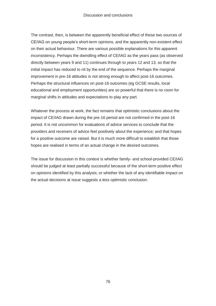on their actual behaviour. There are various possible explanations for this apparent directly between years 9 and 11) continues through to years 12 and 13, so that the educational and employment opportunities) are so powerful that there is no room for The contrast, then, is between the apparently beneficial effect of these two sources of CE/IAG on young people's short-term opinions, and the apparently non-existent effect inconsistency. Perhaps the dwindling effect of CE/IAG as the years pass (as observed initial impact has reduced to nil by the end of the sequence. Perhaps the marginal improvement in pre-16 attitudes is not strong enough to affect post-16 outcomes. Perhaps the structural influences on post-16 outcomes (eg GCSE results, local marginal shifts in attitudes and expectations to play any part.

 Whatever the process at work, the fact remains that optimistic conclusions about the impact of CE/IAG drawn during the pre-16 period are not confirmed in the post-16 period. It is not uncommon for evaluations of advice services to conclude that the providers and receivers of advice feel positively about the experience; and that hopes for a positive outcome are raised. But it is much more difficult to establish that those hopes are realised in terms of an actual change in the desired outcomes.

The issue for discussion in this context is whether family- and school-provided CE/IAG should be judged at least partially successful because of the short-term positive effect on opinions identified by this analysis; or whether the lack of any identifiable impact on the actual decisions at issue suggests a less optimistic conclusion.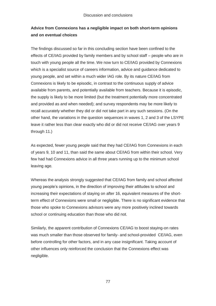## **Advice from Connexions has a negligible impact on both short-term opinions and on eventual choices**

 The findings discussed so far in this concluding section have been confined to the touch with young people all the time. We now turn to CE/IAG provided by Connexions Connexions is likely to be episodic, in contrast to the continuous supply of advice recall accurately whether they did or did not take part in any such sessions. (On the effects of CE/IAG provided by family members and by school staff – people who are in which is a specialist source of careers information, advice and guidance dedicated to young people, and set within a much wider IAG role. By its nature CE/IAG from available from parents, and potentially available from teachers. Because it is episodic, the supply is likely to be more limited (but the treatment potentially more concentrated and provided as and when needed); and survey respondents may be more likely to other hand, the variations in the question sequences in waves 1, 2 and 3 of the LSYPE leave it rather less than clear exactly who did or did not receive CE/IAG over years 9 through 11.)

 of years 9, 10 and 11, than said the same about CE/IAG from within their school. Very As expected, fewer young people said that they had CE/IAG from Connexions in each few had had Connexions advice in all three years running up to the minimum school leaving age.

 increasing their expectations of staying on after 16, equivalent measures of the short-Whereas the analysis strongly suggested that CE/IAG from family and school affected young people's opinions, in the direction of improving their attitudes to school and term effect of Connexions were small or negligible. There is no significant evidence that those who spoke to Connexions advisors were any more positively inclined towards school or continuing education than those who did not.

 Similarly, the apparent contribution of Connexions CE/IAG to boost staying-on rates other influences only reinforced the conclusion that the Connexions effect was was much smaller than those observed for family- and school-provided CE/IAG, even before controlling for other factors, and in any case insignificant. Taking account of negligible.

77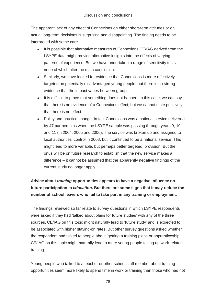The apparent lack of any effect of Connexions on either short-term attitudes or on actual long-term decisions is surprising and disappointing. The finding needs to be interpreted with some care.

- It is possible that alternative measures of Connexions CE/IAG derived from the none of which alter the main conclusion. LSYPE data might provide alternative insights into the effects of varying patterns of experience. But we have undertaken a range of sensitivity tests,
- Similarly, we have looked for evidence that Connexions is more effectively targeted on potentially disadvantaged young people, but there is no strong evidence that the impact varies between groups.
- that there is no effect. • It is difficult to prove that something does not happen. In this case, we can say that there is no evidence of a Connexions effect; but we cannot state positively
- local authorities' control in 2008, but it continued to be a national service. This difference – it cannot be assumed that the apparently negative findings of the • Policy and practice change. In fact Connexions was a national service delivered by 47 partnerships when the LSYPE sample was passing through years 9, 10 and 11 (in 2004, 2005 and 2006). The service was broken up and assigned to might lead to more variable, but perhaps better targeted, provision. But the onus will be on future research to establish that the new service makes a current study no longer apply.

# **Advice about** *training* **opportunities appears to have a negative influence on future participation in** *education***. But there are some signs that it may reduce the number of school leavers who fail to take part in any training or employment.**

 were asked if they had 'talked about plans for future studies' with any of the three sources. CE/IAG on this topic might naturally lead to 'future study' and is expected to the respondent had talked to people about 'getting a training place or apprenticeship'. CE/IAG on this topic might naturally lead to more young people taking up work-related The findings reviewed so far relate to survey questions in which LSYPE respondents be associated with higher staying-on rates. But other survey questions asked whether training.

 opportunities seem more likely to spend time in work or training than those who had not Young people who talked to a teacher or other school staff member about training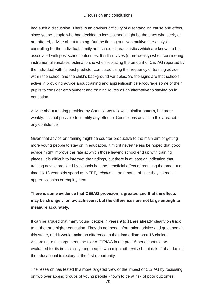had such a discussion. There is an obvious difficulty of disentangling cause and effect, since young people who had decided to leave school might be the ones who seek, or are offered, advice about training. But the finding survives multivariate analysis controlling for the individual, family and school characteristics which are known to be associated with post school outcomes. It still survives (more weakly) when considering instrumental variables' estimation, ie when replacing the amount of CE/IAG reported by the individual with its best predictor computed using the frequency of training advice within the school and the child's background variables. So the signs are that schools active in providing advice about training and apprenticeships encourage some of their pupils to consider employment and training routes as an alternative to staying on in education.

Advice about training provided by Connexions follows a similar pattern, but more weakly. It is not possible to identify any effect of Connexions advice in this area with any confidence.

 Given that advice on training might be counter-productive to the main aim of getting more young people to stay on in education, it might nevertheless be hoped that good advice might improve the rate at which those leaving school end up with training places. It is difficult to interpret the findings, but there is at least an indication that training advice provided by schools has the beneficial effect of reducing the amount of time 16-18 year olds spend as NEET, *relative* to the amount of time they spend in apprenticeships or employment.

# **There is some evidence that CE/IAG provision is greater, and that the effects may be stronger, for low achievers, but the differences are not large enough to measure accurately.**

It can be argued that many young people in years 9 to 11 are already clearly on track to further and higher education. They do not need information, advice and guidance at this stage, and it would make no difference to their immediate post-16 choices. According to this argument, the role of CE/IAG in the pre-16 period should be evaluated for its impact on young people who might otherwise be at risk of abandoning the educational trajectory at the first opportunity.

 The research has tested this more targeted view of the impact of CE/IAG by focussing on two overlapping groups of young people known to be at risk of poor outcomes: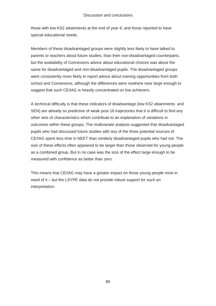those with low KS2 attainments at the end of year 6; and those reported to have special educational needs.

 were consistently more likely to report advice about training opportunities from both Members of these disadvantaged groups were slightly less likely to have talked to parents or teachers about future studies, than their non-disadvantaged counterparts, but the availability of Connexions advice about educational choices was about the same for disadvantaged and non-disadvantaged pupils. The disadvantaged groups school and Connexions, although the differences were nowhere near large enough to suggest that such CE/IAG is heavily concentrated on low achievers.

 CE/IAG spent less time in NEET than similarly disadvantaged pupils who had not. The A technical difficulty is that these indicators of disadvantage (low KS2 attainments and SEN) are already so predictive of weak post-16 trajectories that it is difficult to find any other sets of characteristics which contribute to an explanation of variations in outcomes within these groups. The multivariate analysis suggested that disadvantaged pupils who had discussed future studies with any of the three potential sources of size of these effects often appeared to be larger than those observed for young people as a combined group. But in no case was the size of the effect large enough to be measured with confidence as better than zero.

 need of it – but the LSYPE data do not provide robust support for such an This means that CE/IAG may have a greater impact on those young people most in interpretation.

80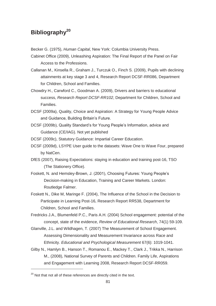# **Bibliography20**

Becker G. (1975), *Human Capital*, New York: Columbia University Press.

Cabinet Office (2009), Unleashing Aspiration: The Final Report of the Panel on Fair Access to the Professions.

 Callanan M., Kinsella R., Graham J., Turczuk O., Finch S. (2009), Pupils with declining attainments at key stage 3 and 4, Research Report DCSF-RR086, Department for Children, School and Families.

Chowdry H., Carwford C., Goodman A. (2009), Drivers and barriers to educational success, *Research Report DCSF-RR102*, Department for Children, School and Families.

 DCSF (2009a), Quality, Choice and Aspiration: A Strategy for Young People Advice and Guidance, Building Britain's Future.

DCSF (2009b), Quality Standard's for Young People's Information, advice and Guidance (CE/IAG). Not yet published

DCSF (2009c), Statutory Guidance: Impartial Career Education.

- DCSF (2009c), Statutory Guidance: Impartial Career Education.<br>DCSF (2009d), LSYPE User guide to the datasets: Wave One to Wave Four, prepared by NatCen.
- DfES (2007), Raising Expectations: staying in education and training post-16, TSO (The Stationery Office).
- Foskett, N. and Hemsley-Brown, J. (2001), Choosing Futures: Young People's Decision-making in Education, Training and Career Markets. London: Routledge Falmer.
- Foskett N., Dike M, Maringe F. (2004), The Influence of the School in the Decision to Children, School and Families. Participate in Learning Post-16, Research Report RR538, Department for

 Children, School and Families. Fredricks J.A., Blumenfeld P.C., Paris A.H. (2004) School engagement: potential of the concept, state of the evidence, *Review of Educational Research*, 74(1) 59-109.

 Glanville, J.L. and Wildhagen, T. (2007) The Measurement of School Engagement. Assessing Dimensionality and Measurement Invariance across Race and Ethnicity. *Educational and Psychological Measurement* 67(6): 1019-1041.

 and Engagement with Learning 2008, Research Report DCSF-RR059. 20 Not that not all of these references are directly cited in the text. Gilby N., Hamlyn B., Hanson T., Romanou E., Mackey T., Clark J., Trikka N., Harrison M., (2008), National Survey of Parents and Children. Family Life, Aspirations

-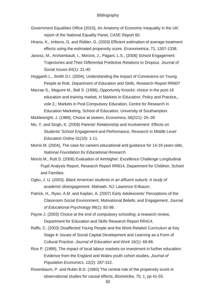- Government Equalities Office (2010), An Anatomy of Economic Inequality in the UK: report of the National Equality Panel, CASE Report 60.
- Hirano, K., Imbens, G. and Ridder, G. (2003) Efficient estimation of average treatment effects using the estimated propensity score. *Econometrica*, 71, 1307-1338.
- Janosz, M., Archambault, I., Morizot, J., Pagani, L.S., (2008) School Engagement Trajectories and Their Differential Predictive Relations to Dropout. *Journal of Social Issues* 64(1): 21-40
- Hoggarth L., Smith D.I. (2004), Understanding the Impact of Connexions on Young People at Risk. *Department of Education and Skills*, Research Report RR607
- Education Marketing, School of Education, University of Southampton. Macrae S., Maguire M., Ball S. (1996), Opportunity Knocks: choice in the post-16 education and training market, in Markets in Education: Policy and Practice,, vole 2,: Markets in Post Compulsory Education, Centre for Research in

Micklewright, J. (1989), Choice at sixteen, *Economica*, 56(221): 25–39

- Mo, Y. and Singh, K. (2008) Parents' Relationship and Involvement: Effects on Students' School Engagement and Performance. *Research in Middle Level Education Online* 31(10): 1-11.
- Morris M. (2004), The case for careers educational and guidance for 14-19 years olds, *National Foundation for Educational Research*.
- Morris M., Rutt S. (2006) Evaluation of Aimhigher: Excellence Challenge Longitudinal Pupil Analysis Report, Research Report RR814, Department for Children, School and Families.
- Ogbu, J. U. (2003). *Black American students in an affluent suburb: A study of academic disengagement.* Mahwah, NJ: Lawrence Erlbaum.
- Patrick, H., Ryan, A.M. and Kaplan, A. (2007) Early Adolescents' Perceptions of the Classroom Social Environment, Motivational Beliefs, and Engagement. *Journal of Educational Psychology* 99(1): 83-98.
- Payne J. (2003) Choice at the end of compulsory schooling: a research review, Department for Education and Skills Research Report RR414.
- Cultural Practice. *Journal of Education and Work* 16(1): 69-86. Raffo, C. (2003) Disaffected Young People and the Work-Related Curriculum at Key Stage 4: Issues of Social Capital Development and Learning as a Form of
- Rice P. (1999), The impact of local labour markets on investment in further education: Evidence from the England and Wales youth cohort studies, *Journal of Population Economics*, 12(2): 287-312.
- Rosenbaum, P. and Rubin B.D. (1983) The central role of the propensity score in observational studies for causal effects, *Biometrika*, 70, 1, pp 41-55. 82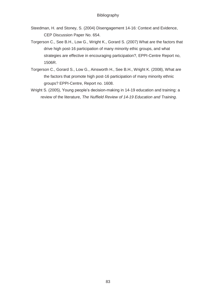- Steedman, H. and Stoney, S. (2004) Disengagement 14-16: Context and Evidence, CEP Discussion Paper No. 654.
- Torgerson C., See B.H., Low G., Wright K., Gorard S. (2007) What are the factors that strategies are effective in encouraging participation?, EPPI-Centre Report no, drive high post-16 participation of many minority ethic groups, and what 1506R.
- the factors that promote high post-16 participation of many minority ethnic Torgerson C., Gorard S., Low G., Ainsworth H., See B.H., Wright K. (2008), What are groups? EPPI-Centre, Report no. 1608.
- Wright S. (2005), Young people's decision-making in 14-19 education and training: a review of the literature, *The Nuffield Review of 14-19 Education and Training*.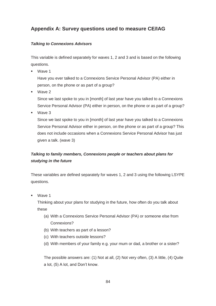# **Appendix A: Survey questions used to measure CE/IAG**

#### *Talking to Connexions Advisors*

 questions. This variable is defined separately for waves 1, 2 and 3 and is based on the following

■ Wave 1

 person, on the phone or as part of a group? Have you ever talked to a Connexions Service Personal Advisor (PA) either in

■ Wave 2

Since we last spoke to you in [month] of last year have you talked to a Connexions Service Personal Advisor (PA) either in person, on the phone or as part of a group?

■ Wave 3

Since we last spoke to you in [month] of last year have you talked to a Connexions Service Personal Advisor either in person, on the phone or as part of a group? This does not include occasions when a Connexions Service Personal Advisor has just given a talk. (wave 3)

# *Talking to family members, Connexions people or teachers about plans for studying in the future*

 These variables are defined separately for waves 1, 2 and 3 using the following LSYPE questions.

■ Wave 1

 Thinking about your plans for studying in the future, how often do you talk about these

- (a) With a Connexions Service Personal Advisor (PA) or someone else from Connexions?
- (b) With teachers as part of a lesson?
- (c) With teachers outside lessons?
- (d) With members of your family e.g. your mum or dad, a brother or a sister?

The possible answers are: (1) Not at all, (2) Not very often, (3) A little, (4) Quite a lot, (5) A lot, and Don't know.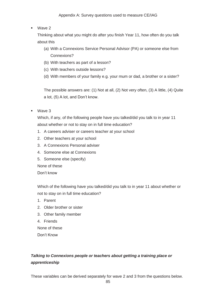#### Appendix A: Survey questions used to measure CE/IAG

■ Wave 2

about this Thinking about what you might do after you finish Year 11, how often do you talk

- about this (a) With a Connexions Service Personal Advisor (PA) or someone else from Connexions?
	- (b) With teachers as part of a lesson?
	- (c) With teachers outside lessons?
	- (d) With members of your family e.g. your mum or dad, a brother or a sister?

The possible answers are: (1) Not at all, (2) Not very often, (3) A little, (4) Quite a lot, (5) A lot, and Don't know.

■ Wave 3

 Which, if any, of the following people have you talked/did you talk to in year 11 about whether or not to stay on in full time education?

- 1. A careers adviser or careers teacher at your school
- 2. Other teachers at your school
- 3. A Connexions Personal adviser
- 4. Someone else at Connexions
- 5. Someone else (specify)

None of these

Don't know

 not to stay on in full time education? Which of the following have you talked/did you talk to in year 11 about whether or

- 1. Parent
- 2. Older brother or sister
- 3. Other family member
- 4. Friends

None of these Don't Know

# *Talking to Connexions people or teachers about getting a training place or apprenticeship*

These variables can be derived separately for wave 2 and 3 from the questions below.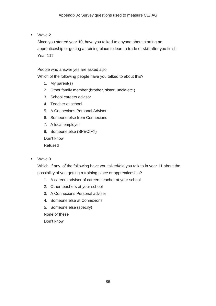■ Wave 2

 Since you started year 10, have you talked to anyone about starting an apprenticeship or getting a training place to learn a trade or skill after you finish Year 11?

#### People who answer yes are asked also

Which of the following people have you talked to about this?

- 1. My parent(s)
- 2. Other family member (brother, sister, uncle etc.)
- 3. School careers advisor
- 4. Teacher at school
- 5. A Connexions Personal Advisor
- 6. Someone else from Connexions
- 7. A local employer
- 8. Someone else (SPECIFY)

Don't know

Refused

■ Wave 3

 Which, if any, of the following have you talked/did you talk to in year 11 about the possibility of you getting a training place or apprenticeship?

- 1. A careers adviser of careers teacher at your school
- 2. Other teachers at your school
- 3. A Connexions Personal adviser
- 4. Someone else at Connexions
- 5. Someone else (specify)

None of these

Don't know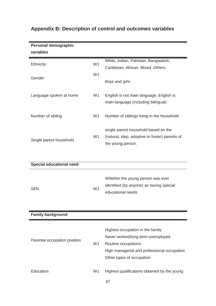| Personal demographic            |                |                                                                                                                                                                           |
|---------------------------------|----------------|---------------------------------------------------------------------------------------------------------------------------------------------------------------------------|
| variables                       |                |                                                                                                                                                                           |
| Ethnicity                       | W <sub>1</sub> | White, Indian, Pakistan, Bangladesh,<br>Caribbean, African, Mixed, Others.                                                                                                |
| Gender                          | W <sub>1</sub> | Boys and girls                                                                                                                                                            |
| Language spoken at home         | W <sub>1</sub> | English is not main language, English is<br>main language (including bilingual)                                                                                           |
| Number of sibling               | W <sub>1</sub> | Number of siblings living in the household                                                                                                                                |
| Single parent household         | W <sub>1</sub> | single parent household based on the<br>(natural, step, adoptive or foster) parents of<br>the young person.                                                               |
|                                 |                |                                                                                                                                                                           |
| <b>Special educational need</b> |                |                                                                                                                                                                           |
| <b>SEN</b>                      | W <sub>1</sub> | Whether the young person was ever<br>identified (by anyone) as having special<br>educational needs                                                                        |
| <b>Family background</b>        |                |                                                                                                                                                                           |
| Parental occupation position    | W <sub>1</sub> | Highest occupation in the family:<br>Never worked/long term unemployed<br>Routine occupations<br>High managerial and professional occupation<br>Other types of occupation |
| Education                       | W <sub>1</sub> | Highest qualifications obtained by the young<br>87                                                                                                                        |

# **Appendix B: Description of control and outcomes variables**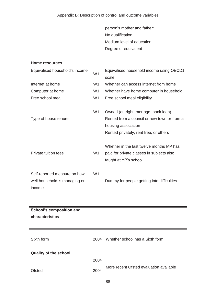person's mother and father: No qualification Medium level of education Degree or equivalent

| Home resources                  |                |                                                                                                                                                      |
|---------------------------------|----------------|------------------------------------------------------------------------------------------------------------------------------------------------------|
| Equivalised household's income  | W <sub>1</sub> | Equivalised household income using OECD1<br>scale                                                                                                    |
| Internet at home                | W <sub>1</sub> | Whether can access internet from home                                                                                                                |
| Computer at home                | W <sub>1</sub> | Whether have home computer in household                                                                                                              |
| Free school meal                | W <sub>1</sub> | Free school meal eligibility                                                                                                                         |
| Type of house tenure            | W <sub>1</sub> | Owned (outright, mortage, bank loan)<br>Rented from a council or new town or from a<br>housing association<br>Rented privately, rent free, or others |
| Private tuition fees            | W <sub>1</sub> | Whether in the last twelve months MP has<br>paid for private classes in subjects also<br>taught at YP's school                                       |
| Self-reported measure on how    | W <sub>1</sub> |                                                                                                                                                      |
| well household is managing on   |                | Dummy for people getting into difficulties                                                                                                           |
| income                          |                |                                                                                                                                                      |
|                                 |                |                                                                                                                                                      |
| <b>School's composition and</b> |                |                                                                                                                                                      |
| characteristics                 |                |                                                                                                                                                      |
| Sixth form                      | 2004           | Whether school has a Sixth form                                                                                                                      |

| <b>Quality of the school</b> |      |                                         |
|------------------------------|------|-----------------------------------------|
|                              | 2004 |                                         |
| Ofsted                       | 2004 | More recent Ofsted evaluation available |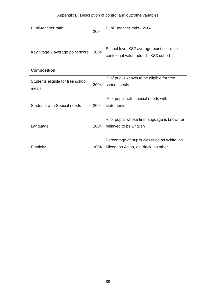# Appendix B: Description of control and outcome variables

| Pupil-teacher ratio                        | 2004 | Pupil: teacher ratio - 2004                                                          |  |  |
|--------------------------------------------|------|--------------------------------------------------------------------------------------|--|--|
| Key Stage 2 average point score            | 2004 | School level KS2 average point score for<br>contextual value added - KS3 cohort      |  |  |
| <b>Composition</b>                         |      |                                                                                      |  |  |
| Students eligible for free school<br>meals | 2004 | % of pupils known to be eligible for free<br>school meals                            |  |  |
| Students with Special needs                | 2004 | % of pupils with special needs with<br>statements.                                   |  |  |
| Language                                   | 2004 | % of pupils whose first language is known or<br>believed to be English               |  |  |
| <b>Ethnicity</b>                           | 2004 | Percentage of pupils classified as White, as<br>Mixed, as Asian, as Black, as other. |  |  |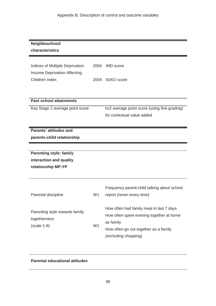| Neighbourhood                   |                |                                              |
|---------------------------------|----------------|----------------------------------------------|
| characteristics                 |                |                                              |
|                                 |                |                                              |
|                                 |                |                                              |
| Indices of Multiple Deprivation | 2004           | <b>IMD</b> score                             |
| Income Deprivation Affecting    |                |                                              |
| Children Index                  | 2004           | <b>IDACI</b> score                           |
|                                 |                |                                              |
|                                 |                |                                              |
| <b>Past school attainments</b>  |                |                                              |
| Key Stage 2 average point score |                | ks2 average point score (using fine grading) |
|                                 |                | for contextual value added                   |
|                                 |                |                                              |
| Parents' attitudes and          |                |                                              |
| parents-child relationship      |                |                                              |
|                                 |                |                                              |
|                                 |                |                                              |
| <b>Parenting style: family</b>  |                |                                              |
| interaction and quality         |                |                                              |
| relationship MP-YP              |                |                                              |
|                                 |                |                                              |
|                                 |                |                                              |
|                                 |                | Frequency parent-child talking about school  |
| Parental discipline             | W <sub>1</sub> | report (never-every time)                    |
|                                 |                |                                              |
|                                 |                | How often had family meal in last 7 days     |
| Parenting style towards family  |                | How often spent evening together at home     |
| togetherness                    |                | as family                                    |
| $(scale 1-6)$                   | W <sub>1</sub> | How often go out together as a family        |
|                                 |                |                                              |
|                                 |                | (excluding shopping)                         |

#### **Parental educational attitudes**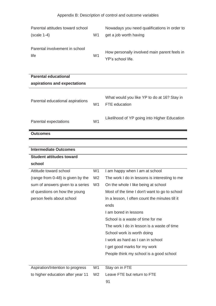| Appendix B: Description of control and outcome variables |                |                                                                        |  |
|----------------------------------------------------------|----------------|------------------------------------------------------------------------|--|
| Parental attitudes toward school<br>$(scale 1-4)$        | W <sub>1</sub> | Nowadays you need qualifications in order to<br>get a job worth having |  |
| Parental involvement in school<br>life                   | W <sub>1</sub> | How personally involved main parent feels in<br>YP's school life.      |  |
| <b>Parental educational</b>                              |                |                                                                        |  |
| aspirations and expectations                             |                |                                                                        |  |
| Parental educational aspirations                         | W1             | What would you like YP to do at 16? Stay in<br>FTE education           |  |
| Parental expectations                                    | W <sub>1</sub> | Likelihood of YP going into Higher Education                           |  |
| <b>Outcomes</b>                                          |                |                                                                        |  |
|                                                          |                |                                                                        |  |
| <b>Intermediate Outcomes</b>                             |                |                                                                        |  |
| <b>Student attitudes toward</b>                          |                |                                                                        |  |

| school                            |                |                                                |
|-----------------------------------|----------------|------------------------------------------------|
| Attitude toward school            | W <sub>1</sub> | I am happy when I am at school                 |
| (range from 0-48) is given by the | W <sub>2</sub> | The work I do in lessons is interesting to me  |
| sum of answers given to a series  | W <sub>3</sub> | On the whole I like being at school            |
| of questions on how the young     |                | Most of the time I don't want to go to school  |
| person feels about school         |                | In a lesson, I often count the minutes till it |
|                                   |                | ends                                           |
|                                   |                | Lam bored in lessons                           |
|                                   |                | School is a waste of time for me               |
|                                   |                | The work I do in lesson is a waste of time     |
|                                   |                | School work is worth doing                     |
|                                   |                | I work as hard as I can in school              |
|                                   |                | I get good marks for my work                   |
|                                   |                | People think my school is a good school        |
|                                   |                |                                                |
| Aspiration/Intention to progress  | W <sub>1</sub> | Stay on in FTE                                 |
| to higher education after year 11 | W <sub>2</sub> | Leave FTE but return to FTE                    |
|                                   |                | 91                                             |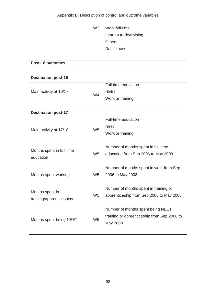Appendix B: Description of control and outcome variables

W3 Work full-time Learn a trade/training **Others** Don't know

**NEET**  apprenticeship from Sep 2006 to May 2008 **Post-16 outcomes Destination post-16**  Main activity at 16/17 W4 Full-time education Work or training **Destination post-17**  Full-time education Main activity at 17/18 W5 Neet Work or training Months spent in full time education W5 Number of months spent in full time education from Sep 2006 to May 2008 Months spent working W5 Number of months spent in work from Sep 2006 to May 2008 Months spent in training/apprenticeships W5 Number of months spent in training or Months spent being NEET W5 Number of months spent being NEET training or apprenticeship from Sep 2006 to May 2008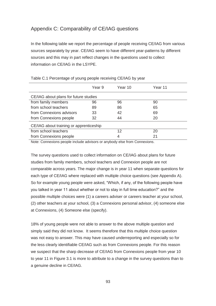# Appendix C: Comparability of CE/IAG questions

 In the following table we report the percentage of people receiving CE/IAG from various information on CE/IAG in the LSYPE. sources separately by year. CE/IAG seem to have different year-patterns by different sources and this may in part reflect changes in the questions used to collect

|                                         | Year 9 | Year 10 | Year 11 |
|-----------------------------------------|--------|---------|---------|
| CE/IAG about plans for future studies   |        |         |         |
| from family members                     | 96     | 96      | 90      |
| from school teachers                    | 89     | 86      | 65      |
| from Connexions advisors                | 33     | 42      | 69      |
| from Connexions people                  | 32     | 44      | 20      |
| CE/IAG about training or apprenticeship |        |         |         |
| from school teachers                    |        | 12      | 20      |
| from Connexions people                  |        | 4       | 21      |

Table C.1 Percentage of young people receiving CE/IAG by year

Note: Connexions people include advisors or anybody else from Connexions.

 comparable across years. The major change is in year 11 when separate questions for So for example young people were asked, "Which, if any, of the following people have at Connexions, (4) Someone else (specify). The survey questions used to collect information on CE/IAG about plans for future studies from family members, school teachers and Connexion people are not each type of CE/IAG where replaced with multiple choice questions (see Appendix A). you talked in year 11 about whether or not to stay in full time education?" and the possible multiple choices were (1) a careers adviser or careers teacher at your school, (2) other teachers at your school, (3) a Connexions personal advisor, (4) someone else

 was not easy to answer. This may have caused underreporting and especially so for we suspect that the sharp decrease of CE/IAG from Connexions people from year 10 a genuine decline in CE/IAG.<br>93 18% of young people were not able to answer to the above multiple question and simply said they did not know. It seems therefore that this multiple choice question the less clearly identifiable CE/IAG such as from Connexions people. For this reason to year 11 in Figure 3.1 is more to attribute to a change in the survey questions than to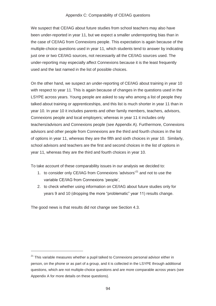We suspect that CE/IAG about future studies from school teachers may also have under-reporting may especially affect Connexions because it is the least frequently been under-reported in year 11, but we expect a smaller underreporting bias than in the case of CE/IAG from Connexions people. This expectation is again because of the multiple-choice questions used in year 11, which students tend to answer by indicating just one or two CE/IAG sources, not necessarily all the CE/IAG sources used. The used and the last named in the list of possible choices.

 LSYPE across years. Young people are asked to say who among a list of people they school advisors and teachers are the first and second choices in the list of options in year 11, whereas they are the third and fourth choices in year 10. On the other hand, we suspect an under-reporting of CE/IAG about training in year 10 with respect to year 11. This is again because of changes in the questions used in the talked about training or apprenticeships, and this list is much shorter in year 11 than in year 10. In year 10 it includes parents and other family members, teachers, advisors, Connexions people and local employers; whereas in year 11 it includes only teachers/advisors and Connexions people (see Appendix A). Furthermore, Connexions advisors and other people from Connexions are the third and fourth choices in the list of options in year 11, whereas they are the fifth and sixth choices in year 10. Similarly,

To take account of these comparability issues in our analysis we decided to:

- 1. to consider only CE/IAG from Connexions 'advisors'<sup>21</sup> and not to use the variable CE/IAG from Connexions 'people',
- 2. to check whether using information on CE/IAG about future studies only for years 9 and 10 (dropping the more "problematic" year 11) results change.

The good news is that results did not change see Section 4.3.

-

 questions, which are not multiple-choice questions and are more comparable across years (see The good news is that results did not change see Section 4.3. 21 This variable measures whether a pupil talked to Connexions personal advisor either in person, on the phone or as part of a group, and it is collected in the LSYPE through additional Appendix A for more details on these questions).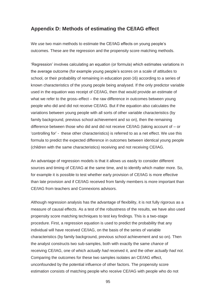#### **Appendix D: Methods of estimating the CE/IAG effect**

 outcomes. These are the regression and the propensity score matching methods. We use two main methods to estimate the CE/IAG effects on young people's

 school, or their probability of remaining in education post-16) according to a series of what we refer to the gross–effect – the raw difference in outcomes between young 'controlling for' - these other characteristics) is referred to as a net effect. We use this (children with the same characteristics) receiving and not receiving CE/IAG. 'Regression' involves calculating an equation (or formula) which estimates variations in the average outcome (for example young people's scores on a scale of attitudes to known characteristics of the young people being analysed. If the only predictor variable used in the equation was receipt of CE/IAG, then that would provide an estimate of people who did and did not receive CE/IAG. But if the equation also calculates the variations between young people with all sorts of other variable characteristics (by family background, previous school achievement and so on), then the remaining difference between those who did and did not receive CE/IAG (taking account of – or formula to predict the expected difference in outcomes between identical young people

An advantage of regression models is that it allows us easily to consider different sources and timing of CE/IAG at the same time, and to identify which matter more. So, for example it is possible to test whether early provision of CE/IAG is more effective than late provision and if CE/IAG received from family members is more important than CE/IAG from teachers and Connexions advisors.

 propensity score matching techniques to test key findings. This is a two-stage characteristics (by family background, previous school achievement and so on). Then Comparing the outcomes for these two samples isolates an CE/IAG effect, unconfounded by the potential influence of other factors. The propensity score Although regression analysis has the advantage of flexibility, it is not fully rigorous as a measure of causal effects. As a test of the robustness of the results, we have also used procedure. First, a regression equation is used to predict the probability that any individual will have received CE/IAG, on the basis of the series of variable the analyst constructs two sub-samples, both with exactly the same *chance* of receiving CE/IAG, one of which *actually had* received it, and the other *actually had not*. estimation consists of matching people who receive CE/IAG with people who do not

95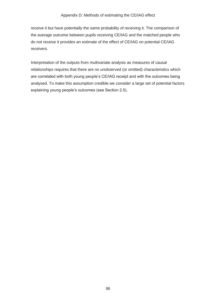do not receive it provides an estimate of the effect of CE/IAG on potential CE/IAG receivers. receive it but have potentially the same probability of receiving it. The comparison of the average outcome between pupils receiving CE/IAG and the matched people who

receivers.<br>Interpretation of the outputs from multivariate analysis as measures of causal analysed. To make this assumption credible we consider a large set of potential factors relationships requires that there are no unobserved (or omitted) characteristics which are correlated with both young people's CE/IAG receipt and with the outcomes being explaining young people's outcomes (see Section 2.5).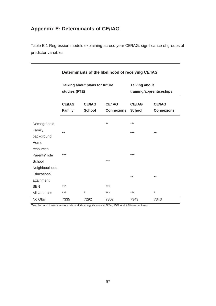# **Appendix E: Determinants of CE/IAG**

 Table E.1 Regression models explaining across-year CE/IAG: significance of groups of predictor variables

|               | Talking about plans for future<br>studies (FTE) |                                |                                    | <b>Talking about</b><br>training/apprenticeships |                                    |  |
|---------------|-------------------------------------------------|--------------------------------|------------------------------------|--------------------------------------------------|------------------------------------|--|
|               | <b>CE/IAG</b><br><b>Family</b>                  | <b>CE/IAG</b><br><b>School</b> | <b>CE/IAG</b><br><b>Connexions</b> | <b>CE/IAG</b><br><b>School</b>                   | <b>CE/IAG</b><br><b>Connexions</b> |  |
| Demographic   |                                                 |                                | $***$                              | $***$                                            |                                    |  |
| Family        | $***$                                           |                                |                                    | ***                                              | $***$                              |  |
| background    |                                                 |                                |                                    |                                                  |                                    |  |
| Home          |                                                 |                                |                                    |                                                  |                                    |  |
| resources     |                                                 |                                |                                    |                                                  |                                    |  |
| Parents' role | ***                                             |                                |                                    | ***                                              |                                    |  |
| School        |                                                 |                                | ***                                |                                                  |                                    |  |
| Neighbourhood |                                                 |                                |                                    |                                                  |                                    |  |
| Educational   |                                                 |                                |                                    | $***$                                            | $***$                              |  |
| attainment    |                                                 |                                |                                    |                                                  |                                    |  |
| <b>SEN</b>    | ***                                             |                                | ***                                |                                                  |                                    |  |
| All variables | ***                                             | $\star$                        | ***                                | ***                                              | $\star$                            |  |
| No Obs        | 7335                                            | 7292                           | 7307                               | 7343                                             | 7343                               |  |

#### **Determinants of the likelihood of receiving CE/IAG**

One, two and three stars indicate statistical significance at 90%, 95% and 99% respectively.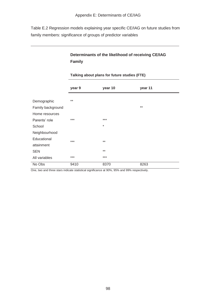Table E.2 Regression models explaining year specific CE/IAG on future studies from family members: significance of groups of predictor variables

## **Determinants of the likelihood of receiving CE/IAG Family**

|                   | year 9 | year 10 | year 11 |
|-------------------|--------|---------|---------|
|                   |        |         |         |
| Demographic       | $***$  |         |         |
| Family background |        |         | $***$   |
| Home resources    |        |         |         |
| Parents' role     | $***$  | $***$   |         |
| School            |        | $\star$ |         |
| Neighbourhood     |        |         |         |
| Educational       | ***    | $***$   |         |
| attainment        |        |         |         |
| <b>SEN</b>        |        | $***$   |         |
| All variables     | ***    | $***$   |         |
| No Obs            | 9410   | 8370    | 8263    |

#### **Talking about plans for future studies (FTE)**

One, two and three stars indicate statistical significance at 90%, 95% and 99% respectively.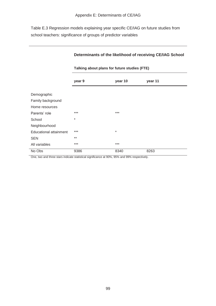Appendix E: Determinants of CE/IAG<br>Table E.3 Regression models explaining year specific CE/IAG on future studies from school teachers: significance of groups of predictor variables

|                        | Talking about plans for future studies (FTE) |         |         |  |
|------------------------|----------------------------------------------|---------|---------|--|
|                        | year 9                                       | year 10 | year 11 |  |
| Demographic            |                                              |         |         |  |
| Family background      |                                              |         |         |  |
| Home resources         |                                              |         |         |  |
| Parents' role          | $***$                                        | $***$   |         |  |
| School                 | $\star$                                      |         |         |  |
| Neighbourhood          |                                              |         |         |  |
| Educational attainment | ***                                          | $\ast$  |         |  |
| <b>SEN</b>             | $***$                                        |         |         |  |
| All variables          | ***                                          | $***$   |         |  |
| No Obs                 | 9386                                         | 8340    | 8263    |  |

#### **Determinants of the likelihood of receiving CE/IAG School**

One, two and three stars indicate statistical significance at 90%, 95% and 99% respectively.